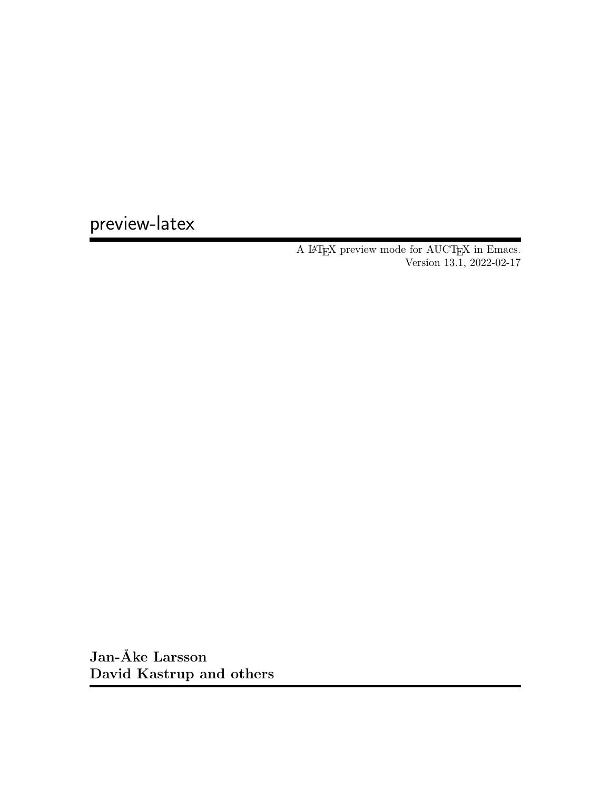preview-latex

A IATEX preview mode for  $\operatorname{AUCTEX}$  in Emacs. Version 13.1, 2022-02-17

Jan-Åke Larsson David Kastrup and others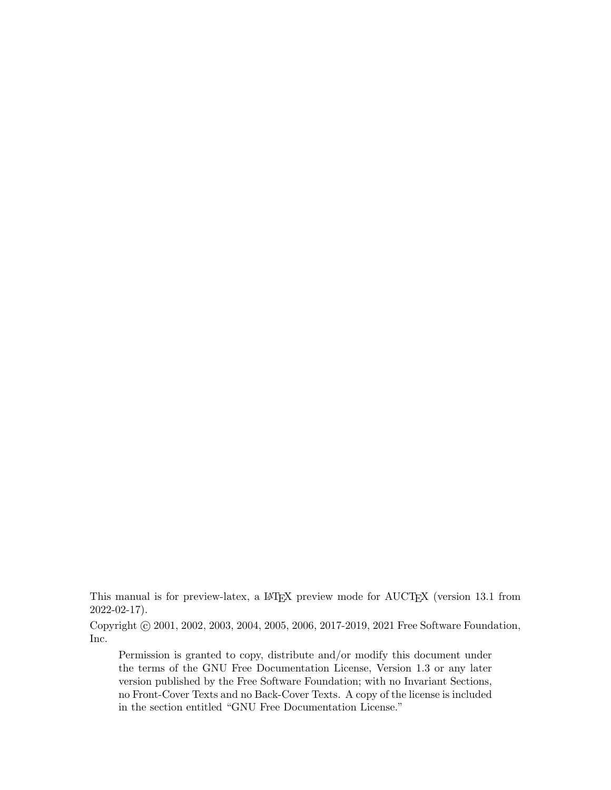This manual is for preview-latex, a LAT<sub>E</sub>X preview mode for AUCT<sub>E</sub>X (version 13.1 from 2022-02-17).

Copyright © 2001, 2002, 2003, 2004, 2005, 2006, 2017-2019, 2021 Free Software Foundation, Inc.

Permission is granted to copy, distribute and/or modify this document under the terms of the GNU Free Documentation License, Version 1.3 or any later version published by the Free Software Foundation; with no Invariant Sections, no Front-Cover Texts and no Back-Cover Texts. A copy of the license is included in the section entitled "GNU Free Documentation License."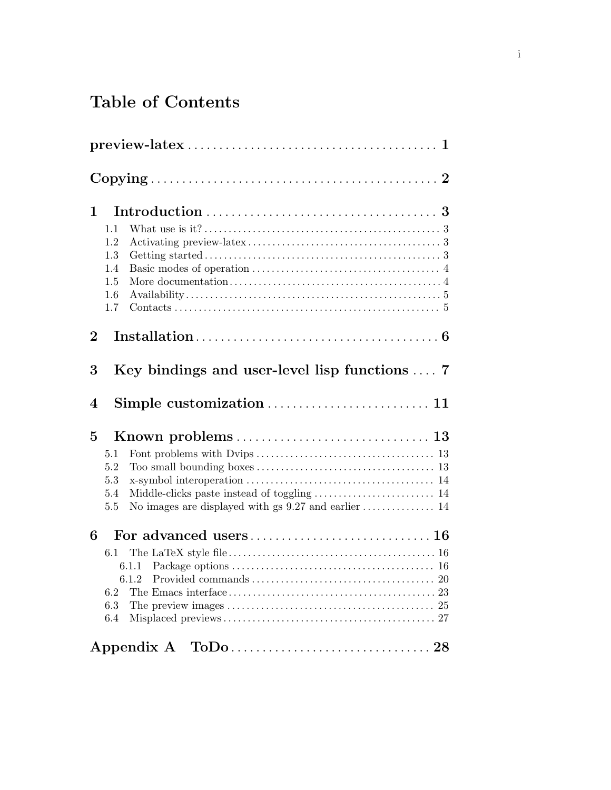# Table of Contents

| $\mathbf 1$             | 1.1<br>1.2<br>1.3<br>1.4<br>1.5<br>1.6<br>1.7                                                                                                         |
|-------------------------|-------------------------------------------------------------------------------------------------------------------------------------------------------|
| $\overline{2}$          |                                                                                                                                                       |
| 3                       | Key bindings and user-level lisp functions $\dots$ 7                                                                                                  |
| $\overline{\mathbf{4}}$ |                                                                                                                                                       |
| 5                       | 5.1<br>5.2<br>5.3<br>5.4<br>5.5                                                                                                                       |
| 6                       | $6.1\,$<br>6.1.1<br>6.1.2<br>6.2<br>The preview images $\dots\dots\dots\dots\dots\dots\dots\dots\dots\dots\dots\dots\dots\dots\dots 25$<br>6.3<br>6.4 |
|                         |                                                                                                                                                       |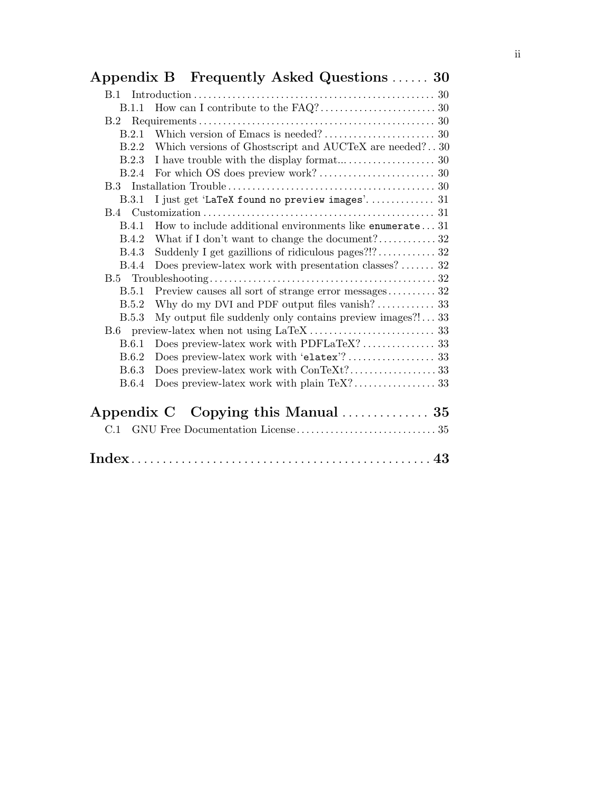| <b>B.1.1</b> |                                                           |
|--------------|-----------------------------------------------------------|
| B.2          |                                                           |
| B.2.1        |                                                           |
| B.2.2        | Which versions of Ghostscript and AUCTeX are needed?30    |
| B.2.3        |                                                           |
| B.2.4        |                                                           |
|              |                                                           |
| <b>B.3.1</b> | I just get 'LaTeX found no preview images' 31             |
|              |                                                           |
| <b>B.4.1</b> | How to include additional environments like enumerate31   |
| B.4.2        |                                                           |
| <b>B.4.3</b> |                                                           |
| <b>B.4.4</b> | Does preview-latex work with presentation classes? 32     |
|              |                                                           |
| B.5.1        | Preview causes all sort of strange error messages 32      |
| B.5.2        |                                                           |
| B.5.3        | My output file suddenly only contains preview images?! 33 |
|              |                                                           |
| <b>B.6.1</b> |                                                           |
| B.6.2        |                                                           |
| <b>B.6.3</b> |                                                           |
| <b>B.6.4</b> |                                                           |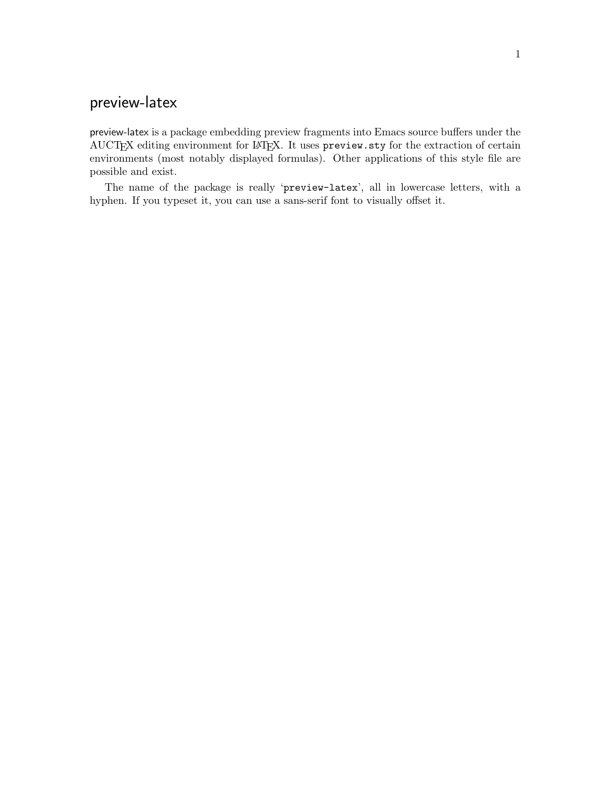## <span id="page-4-0"></span>preview-latex

preview-latex is a package embedding preview fragments into Emacs source buffers under the AUCTEX editing environment for IATEX. It uses preview.sty for the extraction of certain environments (most notably displayed formulas). Other applications of this style file are possible and exist.

The name of the package is really 'preview-latex', all in lowercase letters, with a hyphen. If you typeset it, you can use a sans-serif font to visually offset it.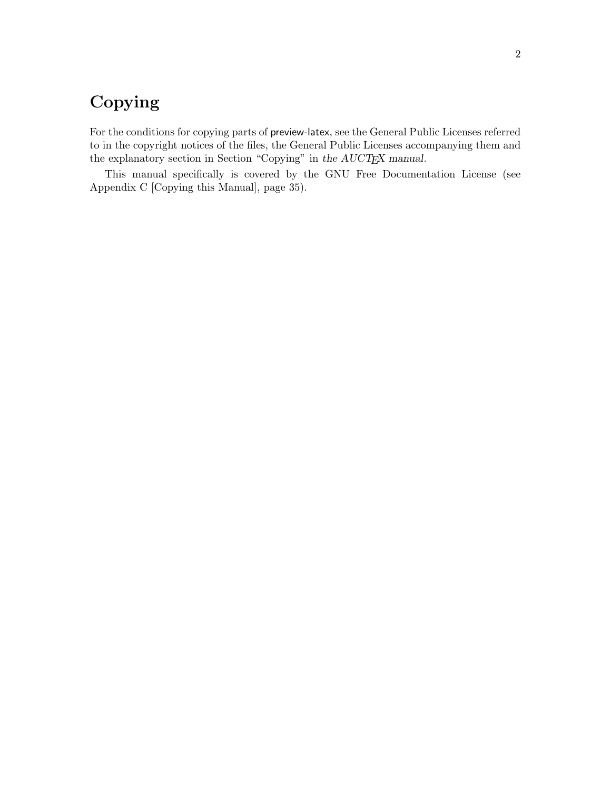# <span id="page-5-0"></span>Copying

For the conditions for copying parts of preview-latex, see the General Public Licenses referred to in the copyright notices of the files, the General Public Licenses accompanying them and the explanatory section in Section "Copying" in [the AUCTEX manual](#page-5-0).

This manual specifically is covered by the GNU Free Documentation License (see [Appendix C \[Copying this Manual\], page 35\)](#page-38-0).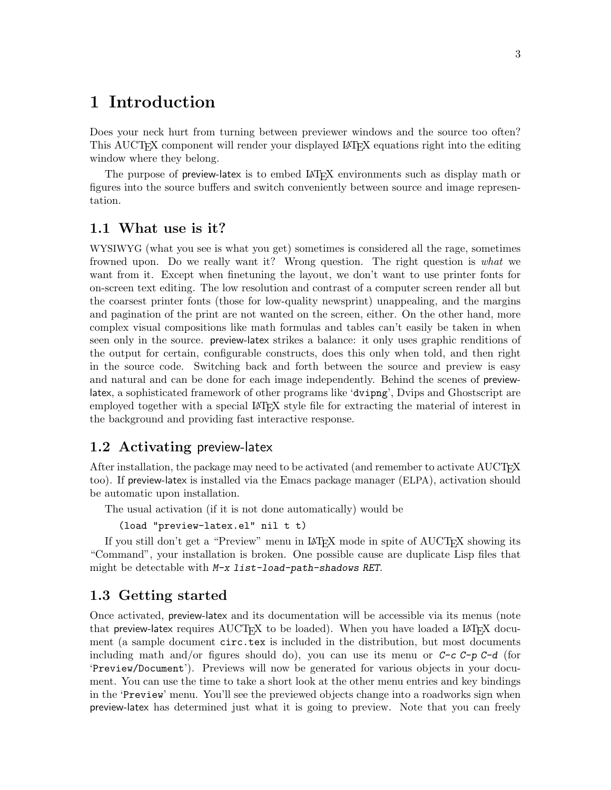## <span id="page-6-0"></span>1 Introduction

Does your neck hurt from turning between previewer windows and the source too often? This AUCT<sub>EX</sub> component will render your displayed LAT<sub>EX</sub> equations right into the editing window where they belong.

The purpose of preview-latex is to embed LAT<sub>EX</sub> environments such as display math or figures into the source buffers and switch conveniently between source and image representation.

## 1.1 What use is it?

WYSIWYG (what you see is what you get) sometimes is considered all the rage, sometimes frowned upon. Do we really want it? Wrong question. The right question is what we want from it. Except when finetuning the layout, we don't want to use printer fonts for on-screen text editing. The low resolution and contrast of a computer screen render all but the coarsest printer fonts (those for low-quality newsprint) unappealing, and the margins and pagination of the print are not wanted on the screen, either. On the other hand, more complex visual compositions like math formulas and tables can't easily be taken in when seen only in the source. preview-latex strikes a balance: it only uses graphic renditions of the output for certain, configurable constructs, does this only when told, and then right in the source code. Switching back and forth between the source and preview is easy and natural and can be done for each image independently. Behind the scenes of previewlatex, a sophisticated framework of other programs like 'dvipng', Dvips and Ghostscript are employed together with a special LAT<sub>EX</sub> style file for extracting the material of interest in the background and providing fast interactive response.

## 1.2 Activating preview-latex

After installation, the package may need to be activated (and remember to activate AUCTFX too). If preview-latex is installed via the Emacs package manager (ELPA), activation should be automatic upon installation.

The usual activation (if it is not done automatically) would be

(load "preview-latex.el" nil t t)

If you still don't get a "Preview" menu in IATEX mode in spite of AUCTEX showing its "Command", your installation is broken. One possible cause are duplicate Lisp files that might be detectable with M-x list-load-path-shadows RET.

## 1.3 Getting started

Once activated, preview-latex and its documentation will be accessible via its menus (note that preview-latex requires  $\text{AUCTrX}$  to be loaded). When you have loaded a LAT<sub>EX</sub> document (a sample document circ.tex is included in the distribution, but most documents including math and/or figures should do), you can use its menu or  $C-c$   $C-p$   $C-d$  (for 'Preview/Document'). Previews will now be generated for various objects in your document. You can use the time to take a short look at the other menu entries and key bindings in the 'Preview' menu. You'll see the previewed objects change into a roadworks sign when preview-latex has determined just what it is going to preview. Note that you can freely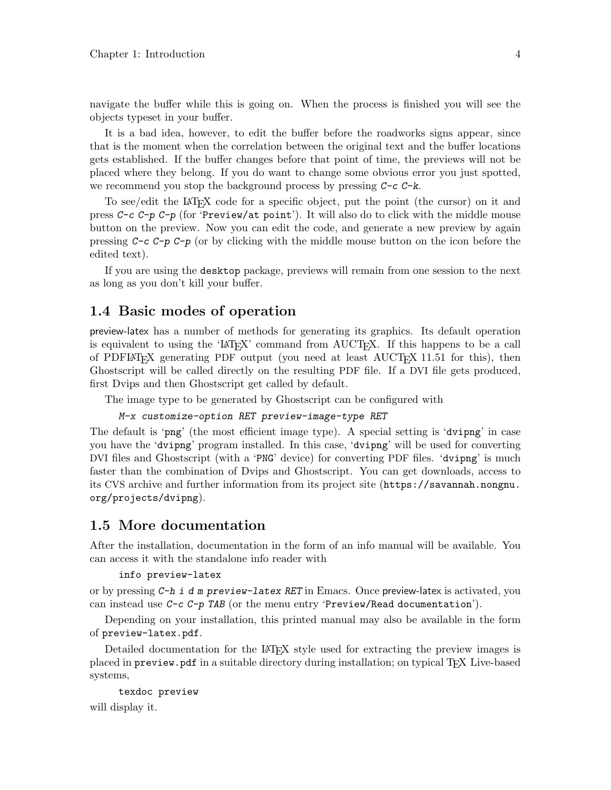<span id="page-7-0"></span>navigate the buffer while this is going on. When the process is finished you will see the objects typeset in your buffer.

It is a bad idea, however, to edit the buffer before the roadworks signs appear, since that is the moment when the correlation between the original text and the buffer locations gets established. If the buffer changes before that point of time, the previews will not be placed where they belong. If you do want to change some obvious error you just spotted, we recommend you stop the background process by pressing  $C-c$  -k.

To see/edit the LAT<sub>EX</sub> code for a specific object, put the point (the cursor) on it and press  $C-c$   $\neg$   $C-p$   $C-p$  (for 'Preview/at point'). It will also do to click with the middle mouse button on the preview. Now you can edit the code, and generate a new preview by again pressing  $C-c$   $C-p$   $C-p$  (or by clicking with the middle mouse button on the icon before the edited text).

If you are using the desktop package, previews will remain from one session to the next as long as you don't kill your buffer.

## 1.4 Basic modes of operation

preview-latex has a number of methods for generating its graphics. Its default operation is equivalent to using the 'LAT<sub>EX</sub>' command from AUCT<sub>EX</sub>. If this happens to be a call of PDFLAT<sub>EX</sub> generating PDF output (you need at least  $\text{AUCTeX}$  11.51 for this), then Ghostscript will be called directly on the resulting PDF file. If a DVI file gets produced, first Dvips and then Ghostscript get called by default.

The image type to be generated by Ghostscript can be configured with

### M-x customize-option RET preview-image-type RET

The default is 'png' (the most efficient image type). A special setting is 'dvipng' in case you have the 'dvipng' program installed. In this case, 'dvipng' will be used for converting DVI files and Ghostscript (with a 'PNG' device) for converting PDF files. 'dvipng' is much faster than the combination of Dvips and Ghostscript. You can get downloads, access to its CVS archive and further information from its project site ([https://savannah.nongnu.](https://savannah.nongnu.org/projects/dvipng) [org/projects/dvipng](https://savannah.nongnu.org/projects/dvipng)).

## 1.5 More documentation

After the installation, documentation in the form of an info manual will be available. You can access it with the standalone info reader with

#### info preview-latex

or by pressing  $C-h$  i d m preview-latex RET in Emacs. Once preview-latex is activated, you can instead use  $C-c$  -p TAB (or the menu entry 'Preview/Read documentation').

Depending on your installation, this printed manual may also be available in the form of preview-latex.pdf.

Detailed documentation for the LAT<sub>EX</sub> style used for extracting the preview images is placed in preview.pdf in a suitable directory during installation; on typical TEX Live-based systems,

```
texdoc preview
will display it.
```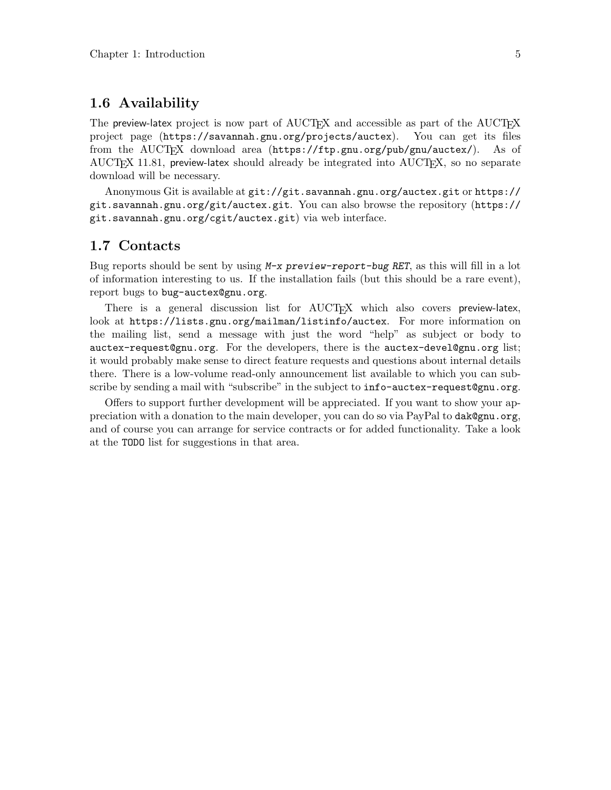## <span id="page-8-0"></span>1.6 Availability

The preview-latex project is now part of AUCT<sub>EX</sub> and accessible as part of the AUCT<sub>EX</sub> project page (<https://savannah.gnu.org/projects/auctex>). You can get its files from the AUCT<sub>F</sub>X download area (<https://ftp.gnu.org/pub/gnu/auctex/>). As of  $\text{AUCTrX}$  11.81, preview-latex should already be integrated into  $\text{AUCTrX}$ , so no separate download will be necessary.

Anonymous Git is available at <git://git.savannah.gnu.org/auctex.git> or [https://](https://git.savannah.gnu.org/git/auctex.git) [git.savannah.gnu.org/git/auctex.git](https://git.savannah.gnu.org/git/auctex.git). You can also [browse the repository \(](https://git.savannah.gnu.org/cgit/auctex.git)https:// [git.savannah.gnu.org/cgit/auctex.git](https://git.savannah.gnu.org/cgit/auctex.git)) via web interface.

## 1.7 Contacts

Bug reports should be sent by using  $M-x$  preview-report-bug RET, as this will fill in a lot of information interesting to us. If the installation fails (but this should be a rare event), report bugs to [bug-auctex@gnu.org](mailto:bug-auctex@gnu.org).

There is a general discussion list for AUCT<sub>EX</sub> which also covers preview-latex, look at <https://lists.gnu.org/mailman/listinfo/auctex>. For more information on the mailing list, send a message with just the word "help" as subject or body to [auctex-request@gnu.org](mailto:auctex-request@gnu.org). For the developers, there is the [auctex-devel@gnu.org](mailto:auctex-devel@gnu.org) list; it would probably make sense to direct feature requests and questions about internal details there. There is a low-volume read-only announcement list available to which you can subscribe by sending a mail with "subscribe" in the subject to [info-auctex-request@gnu.org](mailto:info-auctex-request@gnu.org).

Offers to support further development will be appreciated. If you want to show your appreciation with a donation to the main developer, you can do so via PayPal to [dak@gnu.org](mailto:dak@gnu.org), and of course you can arrange for service contracts or for added functionality. Take a look at the TODO list for suggestions in that area.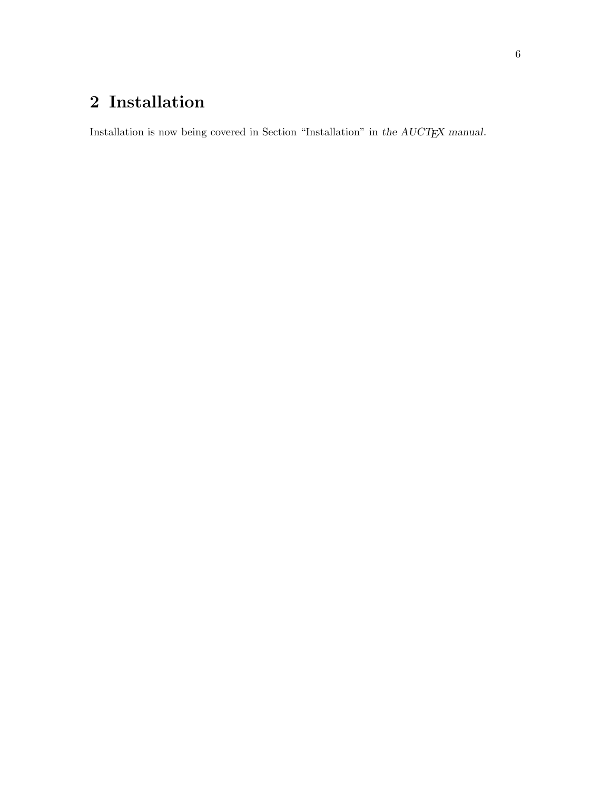# <span id="page-9-0"></span>2 Installation

Installation is now being covered in [Section "Installation" in](#page-9-0) the  $\mathit{AUCT}\!\mathit{E}\!X$  manual.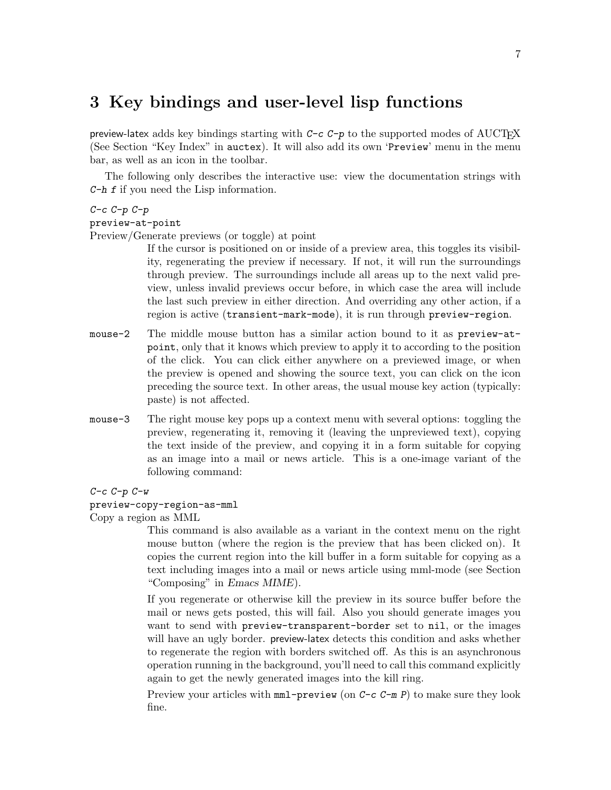## <span id="page-10-0"></span>3 Key bindings and user-level lisp functions

preview-latex adds key bindings starting with  $C-c$   $C-p$  to the supported modes of AUCT<sub>EX</sub> (See Section "Key Index" in auctex). It will also add its own 'Preview' menu in the menu bar, as well as an icon in the toolbar.

The following only describes the interactive use: view the documentation strings with C-h f if you need the Lisp information.

#### $C-c$   $C-p$   $C-p$

#### preview-at-point

Preview/Generate previews (or toggle) at point

If the cursor is positioned on or inside of a preview area, this toggles its visibility, regenerating the preview if necessary. If not, it will run the surroundings through preview. The surroundings include all areas up to the next valid preview, unless invalid previews occur before, in which case the area will include the last such preview in either direction. And overriding any other action, if a region is active (transient-mark-mode), it is run through preview-region.

- mouse-2 The middle mouse button has a similar action bound to it as preview-atpoint, only that it knows which preview to apply it to according to the position of the click. You can click either anywhere on a previewed image, or when the preview is opened and showing the source text, you can click on the icon preceding the source text. In other areas, the usual mouse key action (typically: paste) is not affected.
- mouse-3 The right mouse key pops up a context menu with several options: toggling the preview, regenerating it, removing it (leaving the unpreviewed text), copying the text inside of the preview, and copying it in a form suitable for copying as an image into a mail or news article. This is a one-image variant of the following command:

 $C-c$   $C-p$   $C-w$ 

#### preview-copy-region-as-mml

Copy a region as MML

This command is also available as a variant in the context menu on the right mouse button (where the region is the preview that has been clicked on). It copies the current region into the kill buffer in a form suitable for copying as a text including images into a mail or news article using mml-mode (see Section "Composing" in Emacs MIME).

If you regenerate or otherwise kill the preview in its source buffer before the mail or news gets posted, this will fail. Also you should generate images you want to send with preview-transparent-border set to nil, or the images will have an ugly border. preview-latex detects this condition and asks whether to regenerate the region with borders switched off. As this is an asynchronous operation running in the background, you'll need to call this command explicitly again to get the newly generated images into the kill ring.

Preview your articles with  $mml$ -preview (on  $C-c-m$  P) to make sure they look fine.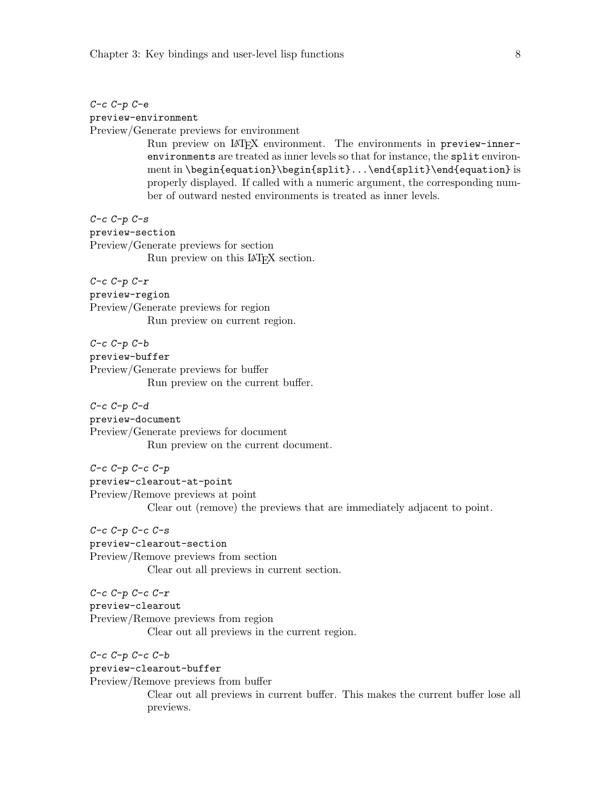<span id="page-11-0"></span>C-c C-p C-e

preview-environment

Preview/Generate previews for environment

Run preview on LAT<sub>E</sub>X environment. The environments in preview-innerenvironments are treated as inner levels so that for instance, the split environment in \begin{equation}\begin{split}...\end{split}\end{equation} is properly displayed. If called with a numeric argument, the corresponding number of outward nested environments is treated as inner levels.

 $C-c$   $C-p$   $C-s$ preview-section Preview/Generate previews for section Run preview on this LAT<sub>E</sub>X section.

 $C-c$   $C-p$   $C-r$ preview-region Preview/Generate previews for region Run preview on current region.

 $C-c$   $C-p$   $C-b$ preview-buffer Preview/Generate previews for buffer Run preview on the current buffer.

C-c C-p C-d preview-document Preview/Generate previews for document Run preview on the current document.

 $C-c$   $C-p$   $C-c$   $C-p$ preview-clearout-at-point Preview/Remove previews at point Clear out (remove) the previews that are immediately adjacent to point.

 $C-c$   $C-p$   $C-c$   $C-s$ 

preview-clearout-section Preview/Remove previews from section Clear out all previews in current section.

 $C-c$   $C-p$   $C-c$   $C-r$ preview-clearout Preview/Remove previews from region Clear out all previews in the current region.

 $C-c$   $C-p$   $C-c$   $C-b$ preview-clearout-buffer Preview/Remove previews from buffer Clear out all previews in current buffer. This makes the current buffer lose all previews.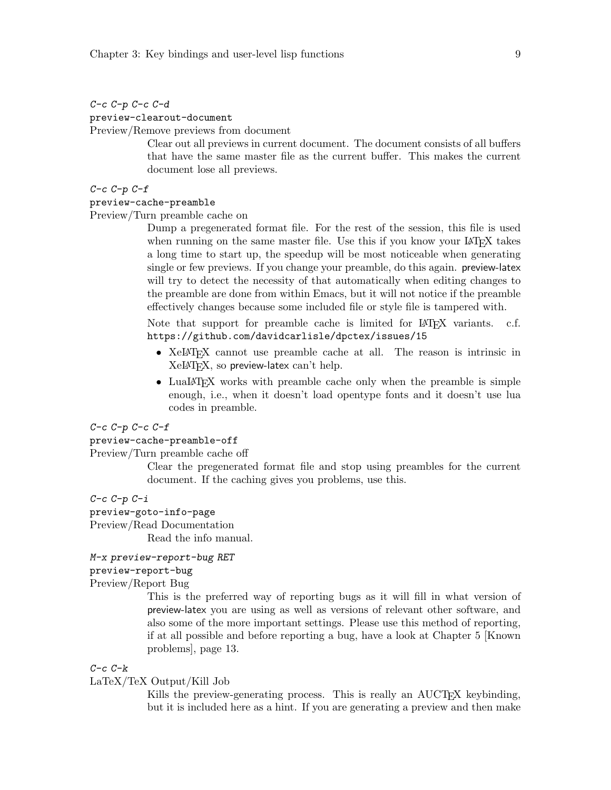### <span id="page-12-0"></span>C-c C-p C-c C-d

preview-clearout-document

Preview/Remove previews from document

Clear out all previews in current document. The document consists of all buffers that have the same master file as the current buffer. This makes the current document lose all previews.

#### $C-c$   $C-p$   $C-f$

#### preview-cache-preamble

Preview/Turn preamble cache on

Dump a pregenerated format file. For the rest of the session, this file is used when running on the same master file. Use this if you know your LAT<sub>EX</sub> takes a long time to start up, the speedup will be most noticeable when generating single or few previews. If you change your preamble, do this again. preview-latex will try to detect the necessity of that automatically when editing changes to the preamble are done from within Emacs, but it will not notice if the preamble effectively changes because some included file or style file is tampered with.

Note that support for preamble cache is limited for  $\mathbb{A}$ FFX variants. c.f. <https://github.com/davidcarlisle/dpctex/issues/15>

- XeLAT<sub>EX</sub> cannot use preamble cache at all. The reason is intrinsic in  $XeIAT<sub>F</sub>X$ , so preview-latex can't help.
- LuaLAT<sub>EX</sub> works with preamble cache only when the preamble is simple enough, i.e., when it doesn't load opentype fonts and it doesn't use lua codes in preamble.

#### $C-c$   $C-p$   $C-c$   $C-f$

#### preview-cache-preamble-off

#### Preview/Turn preamble cache off

Clear the pregenerated format file and stop using preambles for the current document. If the caching gives you problems, use this.

### $C-c$   $C-p$   $C-i$

#### preview-goto-info-page

Preview/Read Documentation

Read the info manual.

#### M-x preview-report-bug RET

### preview-report-bug

### Preview/Report Bug

This is the preferred way of reporting bugs as it will fill in what version of preview-latex you are using as well as versions of relevant other software, and also some of the more important settings. Please use this method of reporting, if at all possible and before reporting a bug, have a look at [Chapter 5 \[Known](#page-16-0) [problems\], page 13.](#page-16-0)

#### $C-c$   $C-k$

#### LaTeX/TeX Output/Kill Job

Kills the preview-generating process. This is really an AUCT<sub>EX</sub> keybinding, but it is included here as a hint. If you are generating a preview and then make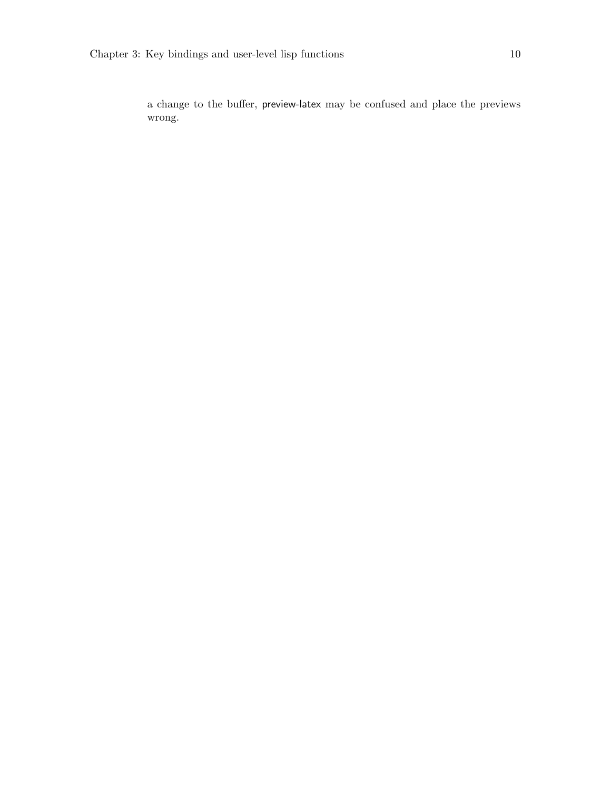a change to the buffer, preview-latex may be confused and place the previews wrong.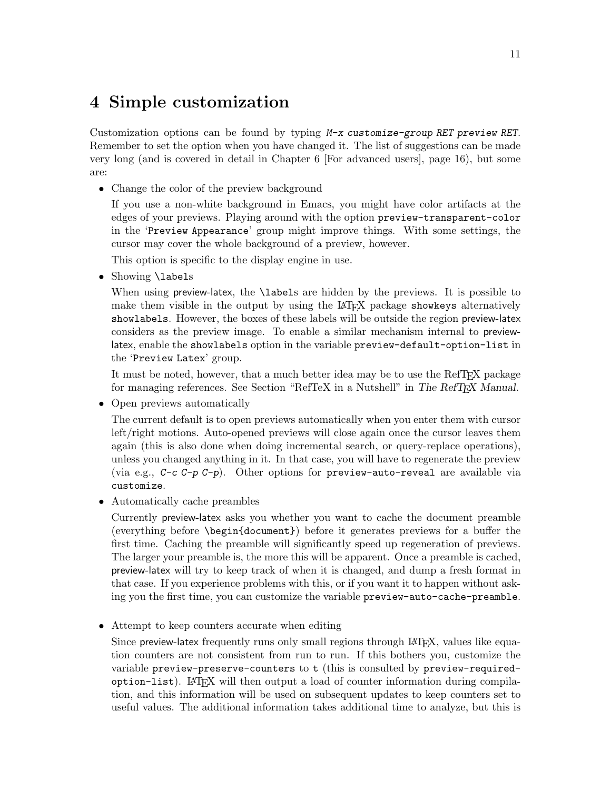## <span id="page-14-0"></span>4 Simple customization

Customization options can be found by typing M-x customize-group RET preview RET. Remember to set the option when you have changed it. The list of suggestions can be made very long (and is covered in detail in [Chapter 6 \[For advanced users\], page 16](#page-19-0)), but some are:

• Change the color of the preview background

If you use a non-white background in Emacs, you might have color artifacts at the edges of your previews. Playing around with the option preview-transparent-color in the 'Preview Appearance' group might improve things. With some settings, the cursor may cover the whole background of a preview, however.

This option is specific to the display engine in use.

• Showing **\labels** 

When using preview-latex, the **\labels** are hidden by the previews. It is possible to make them visible in the output by using the LAT<sub>EX</sub> package showkeys alternatively showlabels. However, the boxes of these labels will be outside the region preview-latex considers as the preview image. To enable a similar mechanism internal to previewlatex, enable the showlabels option in the variable preview-default-option-list in the 'Preview Latex' group.

It must be noted, however, that a much better idea may be to use the RefTEX package for managing references. See Section "RefTeX in a Nutshell" in The RefTEX Manual.

• Open previews automatically

The current default is to open previews automatically when you enter them with cursor left/right motions. Auto-opened previews will close again once the cursor leaves them again (this is also done when doing incremental search, or query-replace operations), unless you changed anything in it. In that case, you will have to regenerate the preview (via e.g.,  $C-c$   $C-p$   $C-p$ ). Other options for preview-auto-reveal are available via customize.

• Automatically cache preambles

Currently preview-latex asks you whether you want to cache the document preamble (everything before \begin{document}) before it generates previews for a buffer the first time. Caching the preamble will significantly speed up regeneration of previews. The larger your preamble is, the more this will be apparent. Once a preamble is cached, preview-latex will try to keep track of when it is changed, and dump a fresh format in that case. If you experience problems with this, or if you want it to happen without asking you the first time, you can customize the variable preview-auto-cache-preamble.

• Attempt to keep counters accurate when editing

Since preview-latex frequently runs only small regions through LAT<sub>EX</sub>, values like equation counters are not consistent from run to run. If this bothers you, customize the variable preview-preserve-counters to t (this is consulted by preview-requiredoption-list). LaTEX will then output a load of counter information during compilation, and this information will be used on subsequent updates to keep counters set to useful values. The additional information takes additional time to analyze, but this is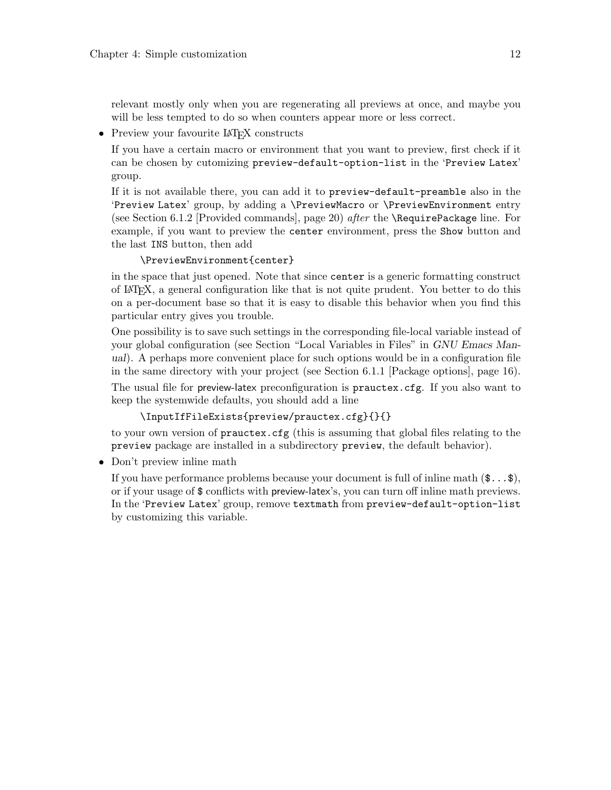<span id="page-15-0"></span>relevant mostly only when you are regenerating all previews at once, and maybe you will be less tempted to do so when counters appear more or less correct.

• Preview your favourite LAT<sub>EX</sub> constructs

If you have a certain macro or environment that you want to preview, first check if it can be chosen by cutomizing preview-default-option-list in the 'Preview Latex' group.

If it is not available there, you can add it to preview-default-preamble also in the 'Preview Latex' group, by adding a \PreviewMacro or \PreviewEnvironment entry (see [Section 6.1.2 \[Provided commands\], page 20](#page-23-1)) after the \RequirePackage line. For example, if you want to preview the center environment, press the Show button and the last INS button, then add

### \PreviewEnvironment{center}

in the space that just opened. Note that since center is a generic formatting construct of LaTEX, a general configuration like that is not quite prudent. You better to do this on a per-document base so that it is easy to disable this behavior when you find this particular entry gives you trouble.

One possibility is to save such settings in the corresponding file-local variable instead of your global configuration (see Section "Local Variables in Files" in GNU Emacs Manual). A perhaps more convenient place for such options would be in a configuration file in the same directory with your project (see [Section 6.1.1 \[Package options\], page 16\)](#page-19-1). The usual file for preview-latex preconfiguration is prauctex.cfg. If you also want to

keep the systemwide defaults, you should add a line

## \InputIfFileExists{preview/prauctex.cfg}{}{}

to your own version of prauctex.cfg (this is assuming that global files relating to the preview package are installed in a subdirectory preview, the default behavior).

• Don't preview inline math

If you have performance problems because your document is full of inline math  $(\mathcal{L} \dots \mathcal{L})$ , or if your usage of \$ conflicts with preview-latex's, you can turn off inline math previews. In the 'Preview Latex' group, remove textmath from preview-default-option-list by customizing this variable.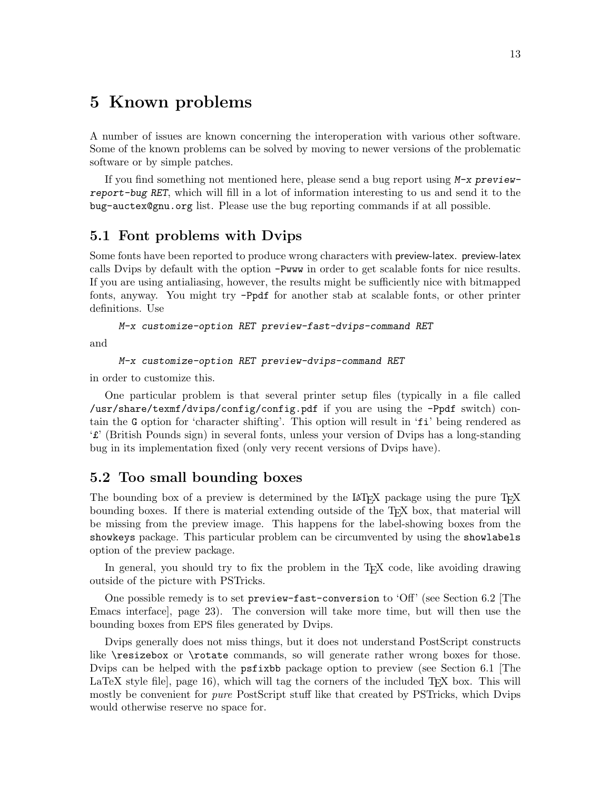## <span id="page-16-0"></span>5 Known problems

A number of issues are known concerning the interoperation with various other software. Some of the known problems can be solved by moving to newer versions of the problematic software or by simple patches.

If you find something not mentioned here, please send a bug report using M-x previewreport-bug RET, which will fill in a lot of information interesting to us and send it to the [bug-auctex@gnu.org](mailto:bug-auctex@gnu.org) list. Please use the bug reporting commands if at all possible.

## 5.1 Font problems with Dvips

Some fonts have been reported to produce wrong characters with preview-latex. preview-latex calls Dvips by default with the option -Pwww in order to get scalable fonts for nice results. If you are using antialiasing, however, the results might be sufficiently nice with bitmapped fonts, anyway. You might try -Ppdf for another stab at scalable fonts, or other printer definitions. Use

```
M-x customize-option RET preview-fast-dvips-command RET
```
and

```
M-x customize-option RET preview-dvips-command RET
```
in order to customize this.

One particular problem is that several printer setup files (typically in a file called /usr/share/texmf/dvips/config/config.pdf if you are using the -Ppdf switch) contain the G option for 'character shifting'. This option will result in 'fi' being rendered as '£' (British Pounds sign) in several fonts, unless your version of Dvips has a long-standing bug in its implementation fixed (only very recent versions of Dvips have).

## 5.2 Too small bounding boxes

The bounding box of a preview is determined by the LAT<sub>EX</sub> package using the pure T<sub>EX</sub> bounding boxes. If there is material extending outside of the T<sub>EX</sub> box, that material will be missing from the preview image. This happens for the label-showing boxes from the showkeys package. This particular problem can be circumvented by using the showlabels option of the preview package.

In general, you should try to fix the problem in the T<sub>EX</sub> code, like avoiding drawing outside of the picture with PSTricks.

One possible remedy is to set preview-fast-conversion to 'Off' (see [Section 6.2 \[The](#page-26-1) [Emacs interface\], page 23](#page-26-1)). The conversion will take more time, but will then use the bounding boxes from EPS files generated by Dvips.

Dvips generally does not miss things, but it does not understand PostScript constructs like \resizebox or \rotate commands, so will generate rather wrong boxes for those. Dvips can be helped with the psfixbb package option to preview (see [Section 6.1 \[The](#page-19-2) LaTeX style file, page  $16$ , which will tag the corners of the included T<sub>EX</sub> box. This will mostly be convenient for *pure* PostScript stuff like that created by PSTricks, which Dvips would otherwise reserve no space for.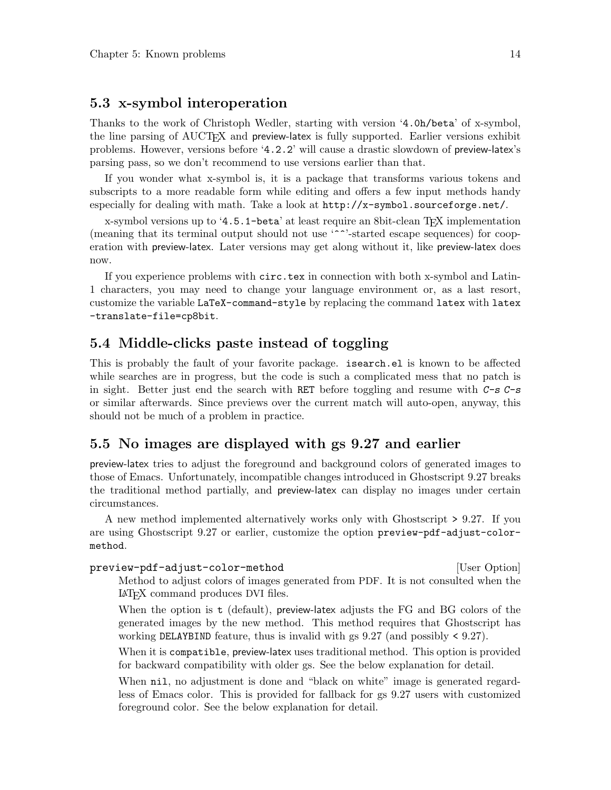## <span id="page-17-0"></span>5.3 x-symbol interoperation

Thanks to the work of Christoph Wedler, starting with version '4.0h/beta' of x-symbol, the line parsing of AUCT<sub>EX</sub> and preview-latex is fully supported. Earlier versions exhibit problems. However, versions before '4.2.2' will cause a drastic slowdown of preview-latex's parsing pass, so we don't recommend to use versions earlier than that.

If you wonder what x-symbol is, it is a package that transforms various tokens and subscripts to a more readable form while editing and offers a few input methods handy especially for dealing with math. Take a look at <http://x-symbol.sourceforge.net/>.

x-symbol versions up to '4.5.1-beta' at least require an 8bit-clean TEX implementation (meaning that its terminal output should not use '^^'-started escape sequences) for cooperation with preview-latex. Later versions may get along without it, like preview-latex does now.

If you experience problems with circ.tex in connection with both x-symbol and Latin-1 characters, you may need to change your language environment or, as a last resort, customize the variable LaTeX-command-style by replacing the command latex with latex -translate-file=cp8bit.

## 5.4 Middle-clicks paste instead of toggling

This is probably the fault of your favorite package. isearch.el is known to be affected while searches are in progress, but the code is such a complicated mess that no patch is in sight. Better just end the search with RET before toggling and resume with  $C-s$   $C-s$ or similar afterwards. Since previews over the current match will auto-open, anyway, this should not be much of a problem in practice.

## 5.5 No images are displayed with gs 9.27 and earlier

preview-latex tries to adjust the foreground and background colors of generated images to those of Emacs. Unfortunately, incompatible changes introduced in Ghostscript 9.27 breaks the traditional method partially, and preview-latex can display no images under certain circumstances.

A new method implemented alternatively works only with Ghostscript > 9.27. If you are using Ghostscript 9.27 or earlier, customize the option preview-pdf-adjust-colormethod.

preview-pdf-adjust-color-method [User Option] Method to adjust colors of images generated from PDF. It is not consulted when the <sup>L</sup>aTEX command produces DVI files.

When the option is t (default), preview-latex adjusts the FG and BG colors of the generated images by the new method. This method requires that Ghostscript has working DELAYBIND feature, thus is invalid with gs 9.27 (and possibly < 9.27).

When it is compatible, preview-latex uses traditional method. This option is provided for backward compatibility with older gs. See the below explanation for detail.

When  $n$ il, no adjustment is done and "black on white" image is generated regardless of Emacs color. This is provided for fallback for gs 9.27 users with customized foreground color. See the below explanation for detail.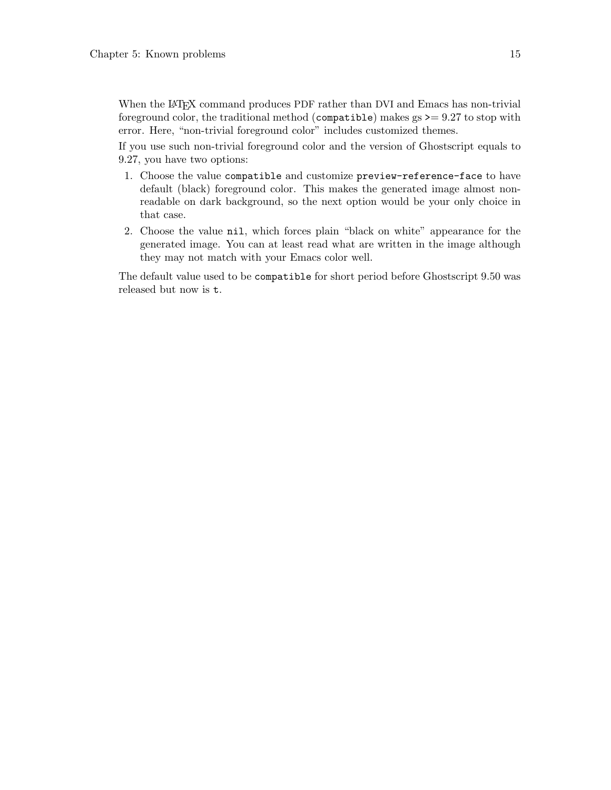When the LAT<sub>EX</sub> command produces PDF rather than DVI and Emacs has non-trivial foreground color, the traditional method (compatible) makes  $gs \geq 9.27$  to stop with error. Here, "non-trivial foreground color" includes customized themes.

If you use such non-trivial foreground color and the version of Ghostscript equals to 9.27, you have two options:

- 1. Choose the value compatible and customize preview-reference-face to have default (black) foreground color. This makes the generated image almost nonreadable on dark background, so the next option would be your only choice in that case.
- 2. Choose the value nil, which forces plain "black on white" appearance for the generated image. You can at least read what are written in the image although they may not match with your Emacs color well.

The default value used to be compatible for short period before Ghostscript 9.50 was released but now is t.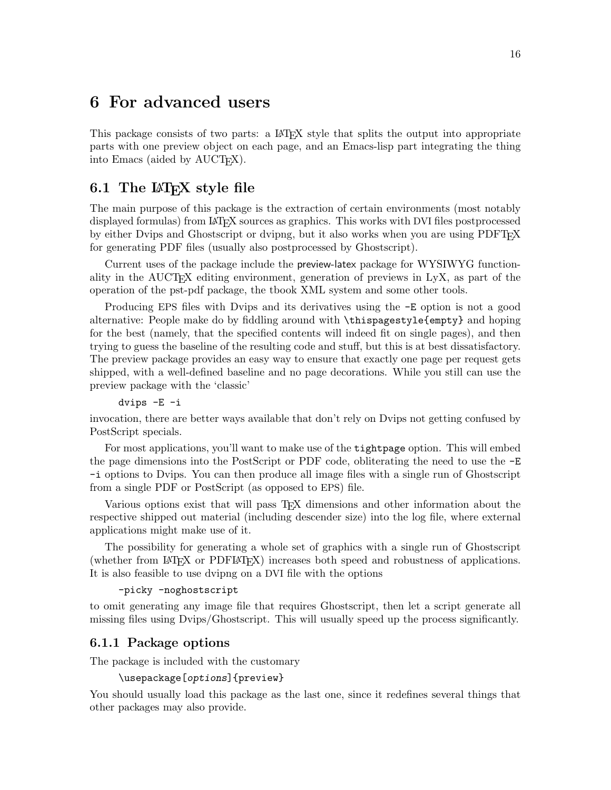## <span id="page-19-0"></span>6 For advanced users

This package consists of two parts: a LAT<sub>EX</sub> style that splits the output into appropriate parts with one preview object on each page, and an Emacs-lisp part integrating the thing into Emacs (aided by AUCT<sub>F</sub>X).

## <span id="page-19-2"></span>6.1 The  $\mathbb{A}$ T<sub>E</sub>X style file

The main purpose of this package is the extraction of certain environments (most notably displayed formulas) from IATFX sources as graphics. This works with DVI files postprocessed by either Dvips and Ghostscript or dvipng, but it also works when you are using PDFTEX for generating PDF files (usually also postprocessed by Ghostscript).

Current uses of the package include the preview-latex package for WYSIWYG functionality in the  $\text{AUCTrX}$  editing environment, generation of previews in LyX, as part of the operation of the pst-pdf package, the tbook XML system and some other tools.

Producing EPS files with Dvips and its derivatives using the -E option is not a good alternative: People make do by fiddling around with \thispagestyle{empty} and hoping for the best (namely, that the specified contents will indeed fit on single pages), and then trying to guess the baseline of the resulting code and stuff, but this is at best dissatisfactory. The preview package provides an easy way to ensure that exactly one page per request gets shipped, with a well-defined baseline and no page decorations. While you still can use the preview package with the 'classic'

dvips -E -i

invocation, there are better ways available that don't rely on Dvips not getting confused by PostScript specials.

For most applications, you'll want to make use of the tightpage option. This will embed the page dimensions into the PostScript or PDF code, obliterating the need to use the -E -i options to Dvips. You can then produce all image files with a single run of Ghostscript from a single PDF or PostScript (as opposed to EPS) file.

Various options exist that will pass TEX dimensions and other information about the respective shipped out material (including descender size) into the log file, where external applications might make use of it.

The possibility for generating a whole set of graphics with a single run of Ghostscript (whether from LaTEX or PDFLaTEX) increases both speed and robustness of applications. It is also feasible to use dvipng on a DVI file with the options

```
-picky -noghostscript
```
to omit generating any image file that requires Ghostscript, then let a script generate all missing files using Dvips/Ghostscript. This will usually speed up the process significantly.

### <span id="page-19-1"></span>6.1.1 Package options

The package is included with the customary

```
\usepackage[options]{preview}
```
You should usually load this package as the last one, since it redefines several things that other packages may also provide.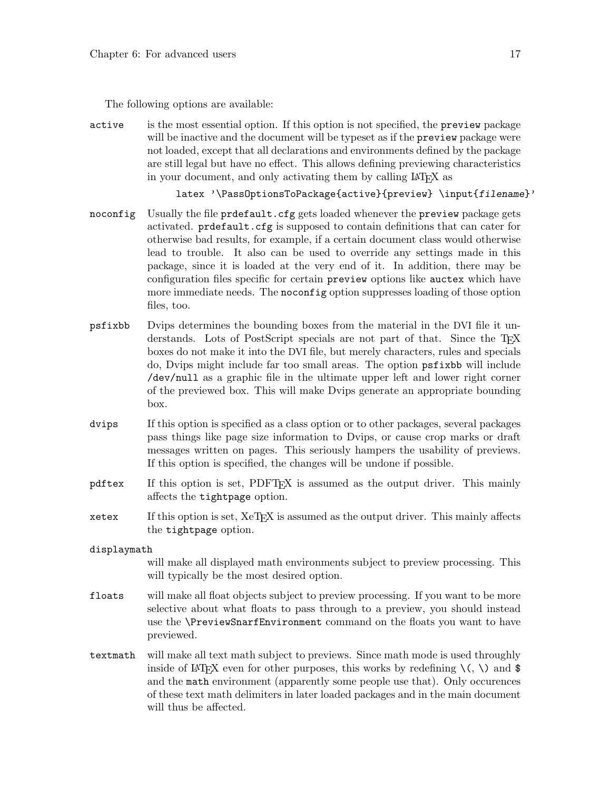The following options are available:

active is the most essential option. If this option is not specified, the preview package will be inactive and the document will be typeset as if the **preview** package were not loaded, except that all declarations and environments defined by the package are still legal but have no effect. This allows defining previewing characteristics in your document, and only activating them by calling LAT<sub>EX</sub> as

latex '\PassOptionsToPackage{active}{preview} \input{filename}'

- noconfig Usually the file prdefault.cfg gets loaded whenever the preview package gets activated. prdefault.cfg is supposed to contain definitions that can cater for otherwise bad results, for example, if a certain document class would otherwise lead to trouble. It also can be used to override any settings made in this package, since it is loaded at the very end of it. In addition, there may be configuration files specific for certain preview options like auctex which have more immediate needs. The **noconfig** option suppresses loading of those option files, too.
- psfixbb Dvips determines the bounding boxes from the material in the DVI file it understands. Lots of PostScript specials are not part of that. Since the TFX boxes do not make it into the DVI file, but merely characters, rules and specials do, Dvips might include far too small areas. The option psfixbb will include /dev/null as a graphic file in the ultimate upper left and lower right corner of the previewed box. This will make Dvips generate an appropriate bounding box.
- dvips If this option is specified as a class option or to other packages, several packages pass things like page size information to Dvips, or cause crop marks or draft messages written on pages. This seriously hampers the usability of previews. If this option is specified, the changes will be undone if possible.
- pdftex If this option is set, PDFT<sub>EX</sub> is assumed as the output driver. This mainly affects the tightpage option.
- xetex If this option is set, XeTEX is assumed as the output driver. This mainly affects the tightpage option.
- displaymath

will make all displayed math environments subject to preview processing. This will typically be the most desired option.

- floats will make all float objects subject to preview processing. If you want to be more selective about what floats to pass through to a preview, you should instead use the \PreviewSnarfEnvironment command on the floats you want to have previewed.
- textmath will make all text math subject to previews. Since math mode is used throughly inside of LAT<sub>EX</sub> even for other purposes, this works by redefining  $\langle \cdot, \cdot \rangle$  and \$ and the math environment (apparently some people use that). Only occurences of these text math delimiters in later loaded packages and in the main document will thus be affected.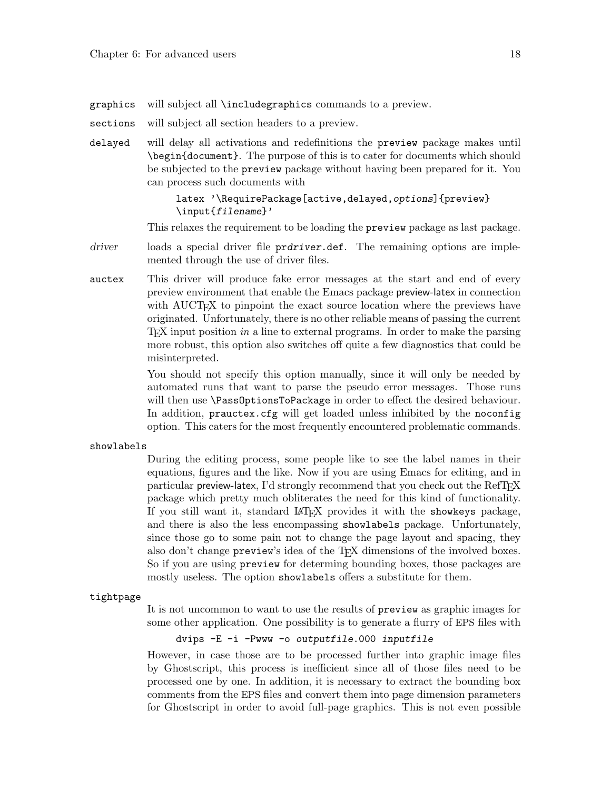- graphics will subject all \includegraphics commands to a preview.
- sections will subject all section headers to a preview.
- delayed will delay all activations and redefinitions the preview package makes until \begin{document}. The purpose of this is to cater for documents which should be subjected to the preview package without having been prepared for it. You can process such documents with

#### latex '\RequirePackage[active,delayed,options]{preview} \input{filename}'

This relaxes the requirement to be loading the preview package as last package.

- driver loads a special driver file prdriver.def. The remaining options are implemented through the use of driver files.
- auctex This driver will produce fake error messages at the start and end of every preview environment that enable the Emacs package preview-latex in connection with AUCT<sub>EX</sub> to pinpoint the exact source location where the previews have originated. Unfortunately, there is no other reliable means of passing the current TEX input position in a line to external programs. In order to make the parsing more robust, this option also switches off quite a few diagnostics that could be misinterpreted.

You should not specify this option manually, since it will only be needed by automated runs that want to parse the pseudo error messages. Those runs will then use \PassOptionsToPackage in order to effect the desired behaviour. In addition, prauctex.cfg will get loaded unless inhibited by the noconfig option. This caters for the most frequently encountered problematic commands.

#### showlabels

During the editing process, some people like to see the label names in their equations, figures and the like. Now if you are using Emacs for editing, and in particular preview-latex, I'd strongly recommend that you check out the RefTEX package which pretty much obliterates the need for this kind of functionality. If you still want it, standard LAT<sub>EX</sub> provides it with the showkeys package, and there is also the less encompassing showlabels package. Unfortunately, since those go to some pain not to change the page layout and spacing, they also don't change preview's idea of the TEX dimensions of the involved boxes. So if you are using preview for determing bounding boxes, those packages are mostly useless. The option showlabels offers a substitute for them.

#### tightpage

It is not uncommon to want to use the results of preview as graphic images for some other application. One possibility is to generate a flurry of EPS files with

dvips -E -i -Pwww -o outputfile.000 inputfile

However, in case those are to be processed further into graphic image files by Ghostscript, this process is inefficient since all of those files need to be processed one by one. In addition, it is necessary to extract the bounding box comments from the EPS files and convert them into page dimension parameters for Ghostscript in order to avoid full-page graphics. This is not even possible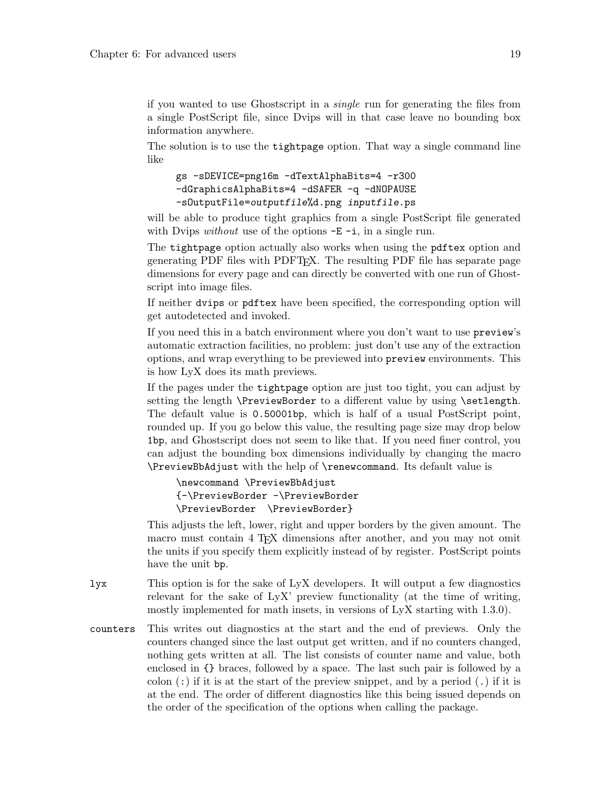if you wanted to use Ghostscript in a single run for generating the files from a single PostScript file, since Dvips will in that case leave no bounding box information anywhere.

The solution is to use the tightpage option. That way a single command line like

```
gs -sDEVICE=png16m -dTextAlphaBits=4 -r300
-dGraphicsAlphaBits=4 -dSAFER -q -dNOPAUSE
-sOutputFile=outputfile%d.png inputfile.ps
```
will be able to produce tight graphics from a single PostScript file generated with Dvips *without* use of the options  $-E - i$ , in a single run.

The tightpage option actually also works when using the pdftex option and generating PDF files with PDFTEX. The resulting PDF file has separate page dimensions for every page and can directly be converted with one run of Ghostscript into image files.

If neither dvips or pdftex have been specified, the corresponding option will get autodetected and invoked.

If you need this in a batch environment where you don't want to use preview's automatic extraction facilities, no problem: just don't use any of the extraction options, and wrap everything to be previewed into preview environments. This is how LyX does its math previews.

If the pages under the tightpage option are just too tight, you can adjust by setting the length **\PreviewBorder** to a different value by using **\setlength**. The default value is 0.50001bp, which is half of a usual PostScript point, rounded up. If you go below this value, the resulting page size may drop below 1bp, and Ghostscript does not seem to like that. If you need finer control, you can adjust the bounding box dimensions individually by changing the macro \PreviewBbAdjust with the help of \renewcommand. Its default value is

```
\newcommand \PreviewBbAdjust
{-\PreviewBorder -\PreviewBorder
\PreviewBorder \PreviewBorder}
```
This adjusts the left, lower, right and upper borders by the given amount. The macro must contain 4 T<sub>E</sub>X dimensions after another, and you may not omit the units if you specify them explicitly instead of by register. PostScript points have the unit bp.

lyx This option is for the sake of LyX developers. It will output a few diagnostics relevant for the sake of LyX' preview functionality (at the time of writing, mostly implemented for math insets, in versions of LyX starting with 1.3.0).

counters This writes out diagnostics at the start and the end of previews. Only the counters changed since the last output get written, and if no counters changed, nothing gets written at all. The list consists of counter name and value, both enclosed in {} braces, followed by a space. The last such pair is followed by a colon  $(\cdot)$  if it is at the start of the preview snippet, and by a period  $(\cdot)$  if it is at the end. The order of different diagnostics like this being issued depends on the order of the specification of the options when calling the package.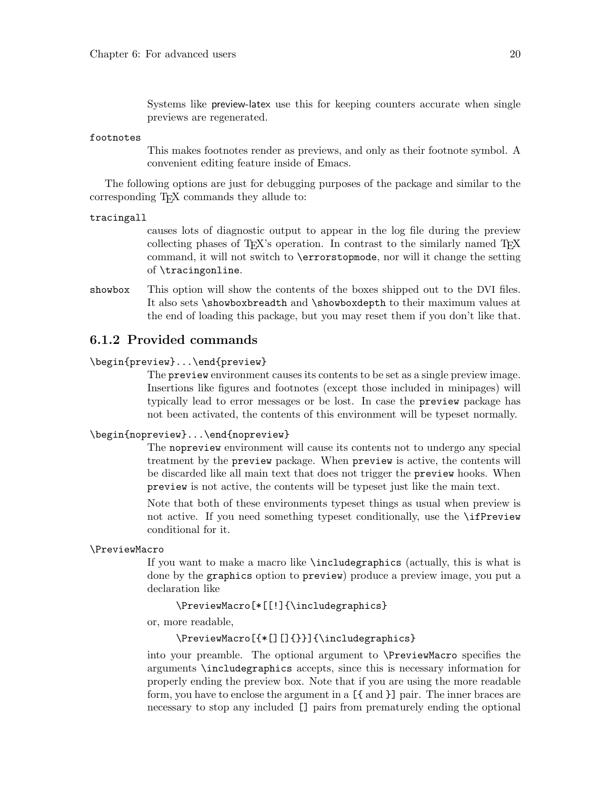Systems like preview-latex use this for keeping counters accurate when single previews are regenerated.

#### <span id="page-23-0"></span>footnotes

This makes footnotes render as previews, and only as their footnote symbol. A convenient editing feature inside of Emacs.

The following options are just for debugging purposes of the package and similar to the corresponding T<sub>EX</sub> commands they allude to:

tracingall

causes lots of diagnostic output to appear in the log file during the preview collecting phases of T<sub>E</sub>X's operation. In contrast to the similarly named T<sub>E</sub>X command, it will not switch to \errorstopmode, nor will it change the setting of \tracingonline.

showbox This option will show the contents of the boxes shipped out to the DVI files. It also sets \showboxbreadth and \showboxdepth to their maximum values at the end of loading this package, but you may reset them if you don't like that.

## <span id="page-23-1"></span>6.1.2 Provided commands

### \begin{preview}...\end{preview}

The preview environment causes its contents to be set as a single preview image. Insertions like figures and footnotes (except those included in minipages) will typically lead to error messages or be lost. In case the preview package has not been activated, the contents of this environment will be typeset normally.

### \begin{nopreview}...\end{nopreview}

The nopreview environment will cause its contents not to undergo any special treatment by the preview package. When preview is active, the contents will be discarded like all main text that does not trigger the preview hooks. When preview is not active, the contents will be typeset just like the main text.

Note that both of these environments typeset things as usual when preview is not active. If you need something typeset conditionally, use the \ifPreview conditional for it.

#### \PreviewMacro

If you want to make a macro like \includegraphics (actually, this is what is done by the graphics option to preview) produce a preview image, you put a declaration like

\PreviewMacro[\*[[!]{\includegraphics}

or, more readable,

### \PreviewMacro[{\*[][]{}}]{\includegraphics}

into your preamble. The optional argument to \PreviewMacro specifies the arguments \includegraphics accepts, since this is necessary information for properly ending the preview box. Note that if you are using the more readable form, you have to enclose the argument in a [{ and }] pair. The inner braces are necessary to stop any included [] pairs from prematurely ending the optional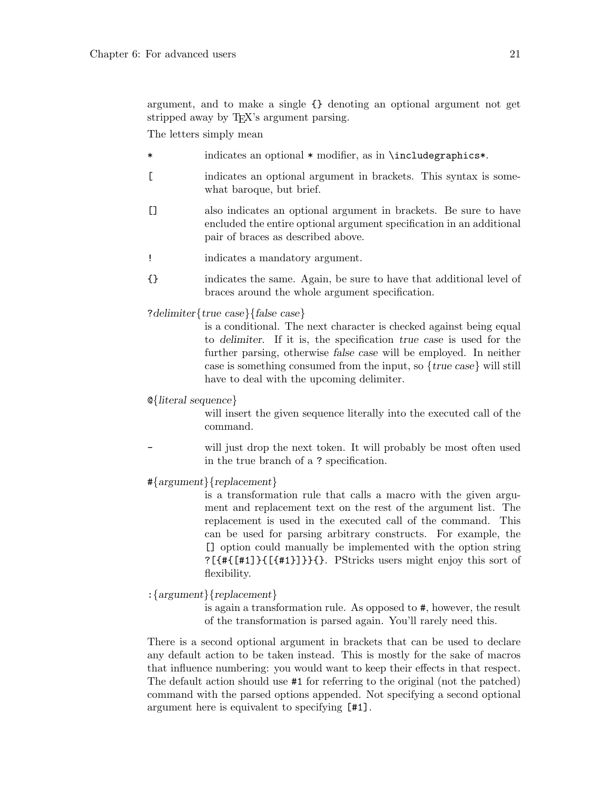argument, and to make a single {} denoting an optional argument not get stripped away by T<sub>E</sub>X's argument parsing.

The letters simply mean

- \* indicates an optional \* modifier, as in \includegraphics\*.
- [ indicates an optional argument in brackets. This syntax is somewhat baroque, but brief.
- [] also indicates an optional argument in brackets. Be sure to have encluded the entire optional argument specification in an additional pair of braces as described above.
- ! indicates a mandatory argument.
- {} indicates the same. Again, be sure to have that additional level of braces around the whole argument specification.

?delimiter{true case}{false case}

is a conditional. The next character is checked against being equal to delimiter. If it is, the specification true case is used for the further parsing, otherwise false case will be employed. In neither case is something consumed from the input, so  ${true \; case}$  will still have to deal with the upcoming delimiter.

@{literal sequence}

will insert the given sequence literally into the executed call of the command.

- will just drop the next token. It will probably be most often used in the true branch of a ? specification.
- #{argument}{replacement}

is a transformation rule that calls a macro with the given argument and replacement text on the rest of the argument list. The replacement is used in the executed call of the command. This can be used for parsing arbitrary constructs. For example, the [] option could manually be implemented with the option string  $?$ [ $\{$ # $\{$ [ $\{$ #1] $\}$  $\{$  $\}$  $\{$  $\}$  $\{$  $\}$  $\}$  $\{$  $\}$  $\{$ . PStricks users might enjoy this sort of flexibility.

:{argument}{replacement}

is again a transformation rule. As opposed to #, however, the result of the transformation is parsed again. You'll rarely need this.

There is a second optional argument in brackets that can be used to declare any default action to be taken instead. This is mostly for the sake of macros that influence numbering: you would want to keep their effects in that respect. The default action should use #1 for referring to the original (not the patched) command with the parsed options appended. Not specifying a second optional argument here is equivalent to specifying [#1].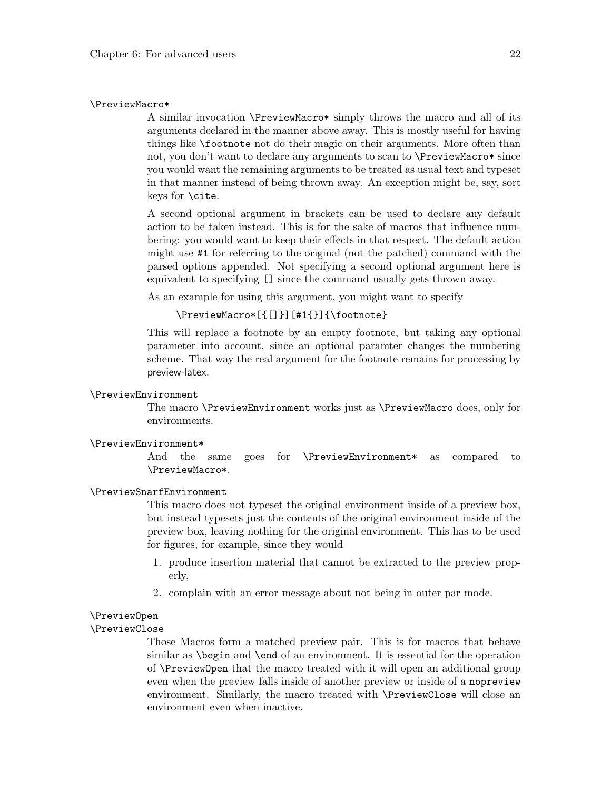#### <span id="page-25-0"></span>\PreviewMacro\*

A similar invocation \PreviewMacro\* simply throws the macro and all of its arguments declared in the manner above away. This is mostly useful for having things like \footnote not do their magic on their arguments. More often than not, you don't want to declare any arguments to scan to \PreviewMacro\* since you would want the remaining arguments to be treated as usual text and typeset in that manner instead of being thrown away. An exception might be, say, sort keys for \cite.

A second optional argument in brackets can be used to declare any default action to be taken instead. This is for the sake of macros that influence numbering: you would want to keep their effects in that respect. The default action might use #1 for referring to the original (not the patched) command with the parsed options appended. Not specifying a second optional argument here is equivalent to specifying [] since the command usually gets thrown away.

As an example for using this argument, you might want to specify

### \PreviewMacro\*[{[]}][#1{}]{\footnote}

This will replace a footnote by an empty footnote, but taking any optional parameter into account, since an optional paramter changes the numbering scheme. That way the real argument for the footnote remains for processing by preview-latex.

## \PreviewEnvironment

The macro \PreviewEnvironment works just as \PreviewMacro does, only for environments.

#### \PreviewEnvironment\*

And the same goes for \PreviewEnvironment\* as compared to \PreviewMacro\*.

#### \PreviewSnarfEnvironment

This macro does not typeset the original environment inside of a preview box, but instead typesets just the contents of the original environment inside of the preview box, leaving nothing for the original environment. This has to be used for figures, for example, since they would

- 1. produce insertion material that cannot be extracted to the preview properly,
- 2. complain with an error message about not being in outer par mode.

#### \PreviewOpen

#### \PreviewClose

Those Macros form a matched preview pair. This is for macros that behave similar as \begin and \end of an environment. It is essential for the operation of \PreviewOpen that the macro treated with it will open an additional group even when the preview falls inside of another preview or inside of a nopreview environment. Similarly, the macro treated with \PreviewClose will close an environment even when inactive.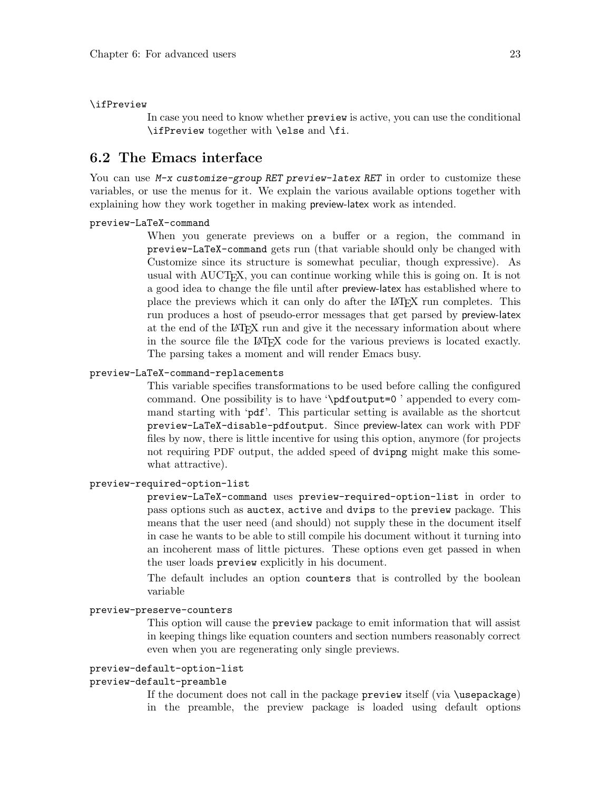#### <span id="page-26-0"></span>\ifPreview

In case you need to know whether preview is active, you can use the conditional \ifPreview together with \else and \fi.

## <span id="page-26-1"></span>6.2 The Emacs interface

You can use M-x customize-group RET preview-latex RET in order to customize these variables, or use the menus for it. We explain the various available options together with explaining how they work together in making preview-latex work as intended.

#### preview-LaTeX-command

When you generate previews on a buffer or a region, the command in preview-LaTeX-command gets run (that variable should only be changed with Customize since its structure is somewhat peculiar, though expressive). As usual with AUCTEX, you can continue working while this is going on. It is not a good idea to change the file until after preview-latex has established where to place the previews which it can only do after the LaTEX run completes. This run produces a host of pseudo-error messages that get parsed by preview-latex at the end of the LAT<sub>EX</sub> run and give it the necessary information about where in the source file the LAT<sub>EX</sub> code for the various previews is located exactly. The parsing takes a moment and will render Emacs busy.

### preview-LaTeX-command-replacements

This variable specifies transformations to be used before calling the configured command. One possibility is to have '\pdfoutput=0 ' appended to every command starting with 'pdf'. This particular setting is available as the shortcut preview-LaTeX-disable-pdfoutput. Since preview-latex can work with PDF files by now, there is little incentive for using this option, anymore (for projects not requiring PDF output, the added speed of dvipng might make this somewhat attractive).

#### preview-required-option-list

preview-LaTeX-command uses preview-required-option-list in order to pass options such as auctex, active and dvips to the preview package. This means that the user need (and should) not supply these in the document itself in case he wants to be able to still compile his document without it turning into an incoherent mass of little pictures. These options even get passed in when the user loads preview explicitly in his document.

The default includes an option counters that is controlled by the boolean variable

#### preview-preserve-counters

This option will cause the preview package to emit information that will assist in keeping things like equation counters and section numbers reasonably correct even when you are regenerating only single previews.

### preview-default-option-list

### preview-default-preamble

If the document does not call in the package preview itself (via \usepackage) in the preamble, the preview package is loaded using default options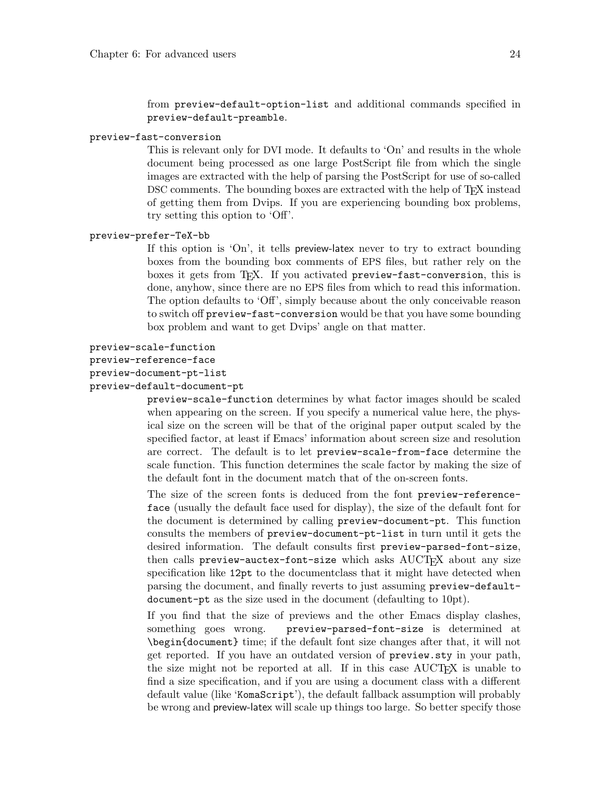from preview-default-option-list and additional commands specified in preview-default-preamble.

### <span id="page-27-0"></span>preview-fast-conversion

This is relevant only for DVI mode. It defaults to 'On' and results in the whole document being processed as one large PostScript file from which the single images are extracted with the help of parsing the PostScript for use of so-called DSC comments. The bounding boxes are extracted with the help of T<sub>E</sub>X instead of getting them from Dvips. If you are experiencing bounding box problems, try setting this option to 'Off'.

#### preview-prefer-TeX-bb

If this option is 'On', it tells preview-latex never to try to extract bounding boxes from the bounding box comments of EPS files, but rather rely on the boxes it gets from TFX. If you activated preview-fast-conversion, this is done, anyhow, since there are no EPS files from which to read this information. The option defaults to 'Off', simply because about the only conceivable reason to switch off preview-fast-conversion would be that you have some bounding box problem and want to get Dvips' angle on that matter.

```
preview-scale-function
```

```
preview-reference-face
```

```
preview-document-pt-list
```

```
preview-default-document-pt
```
preview-scale-function determines by what factor images should be scaled when appearing on the screen. If you specify a numerical value here, the physical size on the screen will be that of the original paper output scaled by the specified factor, at least if Emacs' information about screen size and resolution are correct. The default is to let preview-scale-from-face determine the scale function. This function determines the scale factor by making the size of the default font in the document match that of the on-screen fonts.

The size of the screen fonts is deduced from the font preview-referenceface (usually the default face used for display), the size of the default font for the document is determined by calling preview-document-pt. This function consults the members of preview-document-pt-list in turn until it gets the desired information. The default consults first preview-parsed-font-size, then calls preview-auctex-font-size which asks AUCT<sub>EX</sub> about any size specification like 12pt to the documentclass that it might have detected when parsing the document, and finally reverts to just assuming preview-defaultdocument-pt as the size used in the document (defaulting to 10pt).

If you find that the size of previews and the other Emacs display clashes, something goes wrong. preview-parsed-font-size is determined at \begin{document} time; if the default font size changes after that, it will not get reported. If you have an outdated version of preview.sty in your path, the size might not be reported at all. If in this case AUCT<sub>EX</sub> is unable to find a size specification, and if you are using a document class with a different default value (like 'KomaScript'), the default fallback assumption will probably be wrong and preview-latex will scale up things too large. So better specify those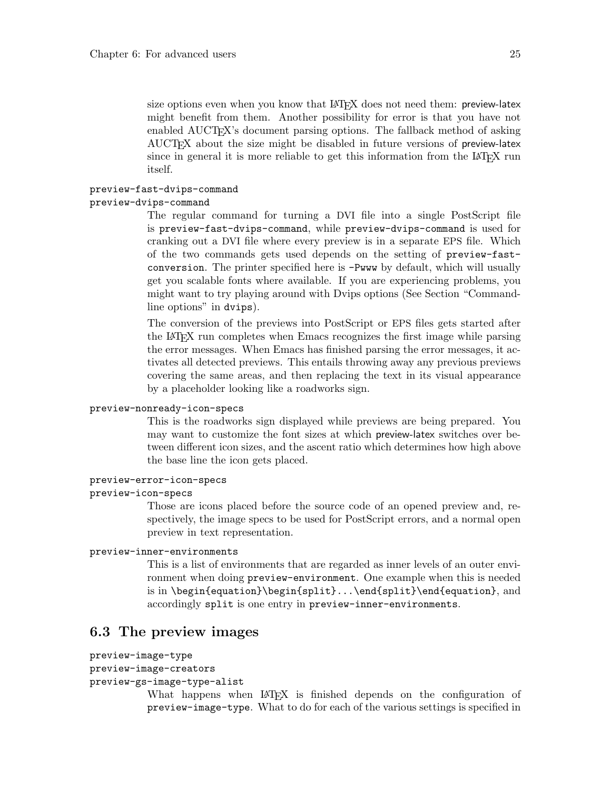<span id="page-28-0"></span>size options even when you know that LAT<sub>EX</sub> does not need them: preview-latex might benefit from them. Another possibility for error is that you have not enabled AUCT<sub>E</sub>X's document parsing options. The fallback method of asking AUCTEX about the size might be disabled in future versions of preview-latex since in general it is more reliable to get this information from the LAT<sub>EX</sub> run itself.

#### preview-fast-dvips-command

### preview-dvips-command

The regular command for turning a DVI file into a single PostScript file is preview-fast-dvips-command, while preview-dvips-command is used for cranking out a DVI file where every preview is in a separate EPS file. Which of the two commands gets used depends on the setting of preview-fastconversion. The printer specified here is -Pwww by default, which will usually get you scalable fonts where available. If you are experiencing problems, you might want to try playing around with Dvips options (See Section "Commandline options" in dvips).

The conversion of the previews into PostScript or EPS files gets started after the LaTEX run completes when Emacs recognizes the first image while parsing the error messages. When Emacs has finished parsing the error messages, it activates all detected previews. This entails throwing away any previous previews covering the same areas, and then replacing the text in its visual appearance by a placeholder looking like a roadworks sign.

#### preview-nonready-icon-specs

This is the roadworks sign displayed while previews are being prepared. You may want to customize the font sizes at which preview-latex switches over between different icon sizes, and the ascent ratio which determines how high above the base line the icon gets placed.

#### preview-error-icon-specs

### preview-icon-specs

Those are icons placed before the source code of an opened preview and, respectively, the image specs to be used for PostScript errors, and a normal open preview in text representation.

#### preview-inner-environments

This is a list of environments that are regarded as inner levels of an outer environment when doing preview-environment. One example when this is needed is in \begin{equation}\begin{split}...\end{split}\end{equation}, and accordingly split is one entry in preview-inner-environments.

## 6.3 The preview images

```
preview-image-type
```

```
preview-image-creators
```

```
preview-gs-image-type-alist
```
What happens when LAT<sub>EX</sub> is finished depends on the configuration of preview-image-type. What to do for each of the various settings is specified in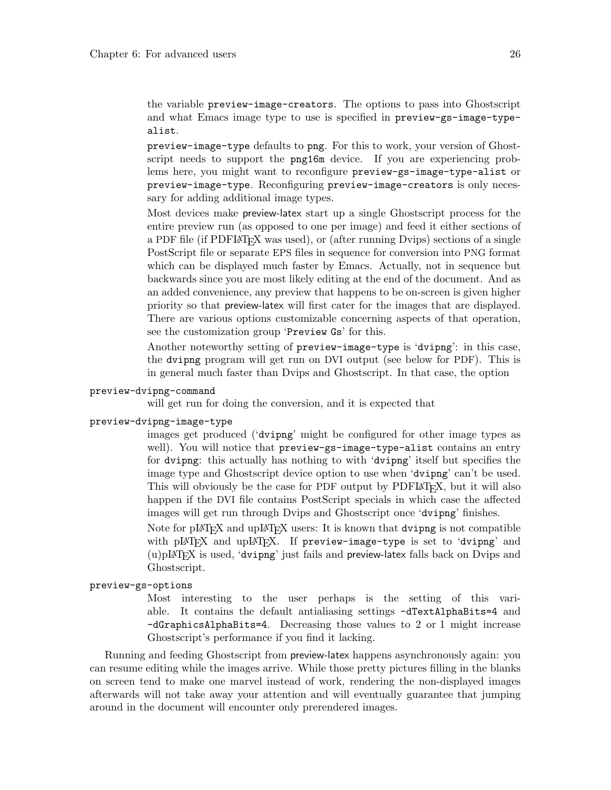<span id="page-29-0"></span>the variable preview-image-creators. The options to pass into Ghostscript and what Emacs image type to use is specified in preview-gs-image-typealist.

preview-image-type defaults to png. For this to work, your version of Ghostscript needs to support the png16m device. If you are experiencing problems here, you might want to reconfigure preview-gs-image-type-alist or preview-image-type. Reconfiguring preview-image-creators is only necessary for adding additional image types.

Most devices make preview-latex start up a single Ghostscript process for the entire preview run (as opposed to one per image) and feed it either sections of a PDF file (if PDFIAT<sub>EX</sub> was used), or (after running Dvips) sections of a single PostScript file or separate EPS files in sequence for conversion into PNG format which can be displayed much faster by Emacs. Actually, not in sequence but backwards since you are most likely editing at the end of the document. And as an added convenience, any preview that happens to be on-screen is given higher priority so that preview-latex will first cater for the images that are displayed. There are various options customizable concerning aspects of that operation, see the customization group 'Preview Gs' for this.

Another noteworthy setting of preview-image-type is 'dvipng': in this case, the dvipng program will get run on DVI output (see below for PDF). This is in general much faster than Dvips and Ghostscript. In that case, the option

#### preview-dvipng-command

will get run for doing the conversion, and it is expected that

#### preview-dvipng-image-type

images get produced ('dvipng' might be configured for other image types as well). You will notice that preview-gs-image-type-alist contains an entry for dvipng: this actually has nothing to with 'dvipng' itself but specifies the image type and Ghostscript device option to use when 'dvipng' can't be used. This will obviously be the case for PDF output by PDFLAT<sub>EX</sub>, but it will also happen if the DVI file contains PostScript specials in which case the affected images will get run through Dvips and Ghostscript once 'dvipng' finishes.

Note for  $\text{pIATFX}$  and  $\text{upIATFX}$  users: It is known that dvipng is not compatible with pLAT<sub>EX</sub> and upLAT<sub>EX</sub>. If preview-image-type is set to 'dvipng' and  $(u)pIATFX$  is used, 'dvipng' just fails and preview-latex falls back on Dvips and Ghostscript.

#### preview-gs-options

Most interesting to the user perhaps is the setting of this variable. It contains the default antialiasing settings -dTextAlphaBits=4 and -dGraphicsAlphaBits=4. Decreasing those values to 2 or 1 might increase Ghostscript's performance if you find it lacking.

Running and feeding Ghostscript from preview-latex happens asynchronously again: you can resume editing while the images arrive. While those pretty pictures filling in the blanks on screen tend to make one marvel instead of work, rendering the non-displayed images afterwards will not take away your attention and will eventually guarantee that jumping around in the document will encounter only prerendered images.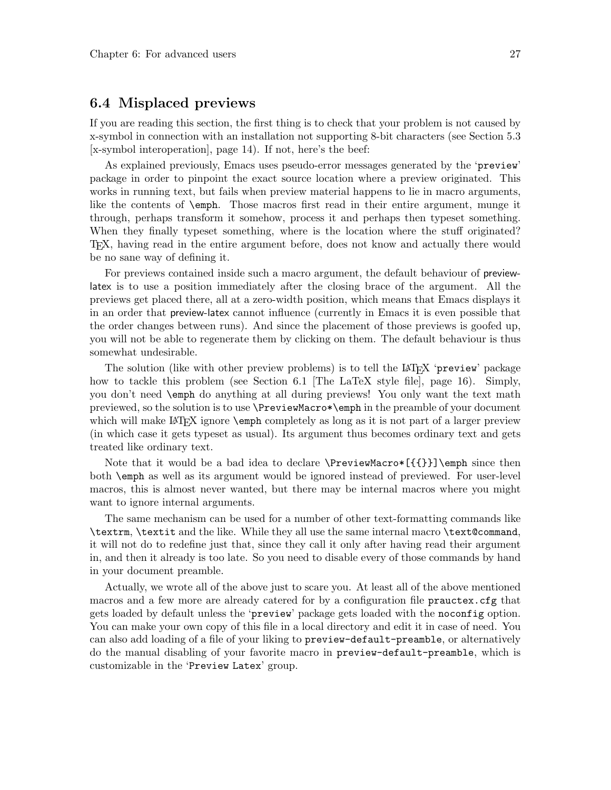## <span id="page-30-0"></span>6.4 Misplaced previews

If you are reading this section, the first thing is to check that your problem is not caused by x-symbol in connection with an installation not supporting 8-bit characters (see [Section 5.3](#page-17-0) [\[x-symbol interoperation\], page 14](#page-17-0)). If not, here's the beef:

As explained previously, Emacs uses pseudo-error messages generated by the 'preview' package in order to pinpoint the exact source location where a preview originated. This works in running text, but fails when preview material happens to lie in macro arguments, like the contents of \emph. Those macros first read in their entire argument, munge it through, perhaps transform it somehow, process it and perhaps then typeset something. When they finally typeset something, where is the location where the stuff originated? TEX, having read in the entire argument before, does not know and actually there would be no sane way of defining it.

For previews contained inside such a macro argument, the default behaviour of previewlatex is to use a position immediately after the closing brace of the argument. All the previews get placed there, all at a zero-width position, which means that Emacs displays it in an order that preview-latex cannot influence (currently in Emacs it is even possible that the order changes between runs). And since the placement of those previews is goofed up, you will not be able to regenerate them by clicking on them. The default behaviour is thus somewhat undesirable.

The solution (like with other preview problems) is to tell the LAT<sub>EX</sub> 'preview' package how to tackle this problem (see [Section 6.1 \[The LaTeX style file\], page 16](#page-19-2)). Simply, you don't need \emph do anything at all during previews! You only want the text math previewed, so the solution is to use \PreviewMacro\*\emph in the preamble of your document which will make LAT<sub>EX</sub> ignore **\emph** completely as long as it is not part of a larger preview (in which case it gets typeset as usual). Its argument thus becomes ordinary text and gets treated like ordinary text.

Note that it would be a bad idea to declare  $\PerviewMaccos({{\})\emptyset}$  since then both \emph as well as its argument would be ignored instead of previewed. For user-level macros, this is almost never wanted, but there may be internal macros where you might want to ignore internal arguments.

The same mechanism can be used for a number of other text-formatting commands like \textrm, \textit and the like. While they all use the same internal macro \text@command, it will not do to redefine just that, since they call it only after having read their argument in, and then it already is too late. So you need to disable every of those commands by hand in your document preamble.

Actually, we wrote all of the above just to scare you. At least all of the above mentioned macros and a few more are already catered for by a configuration file prauctex.cfg that gets loaded by default unless the 'preview' package gets loaded with the noconfig option. You can make your own copy of this file in a local directory and edit it in case of need. You can also add loading of a file of your liking to preview-default-preamble, or alternatively do the manual disabling of your favorite macro in preview-default-preamble, which is customizable in the 'Preview Latex' group.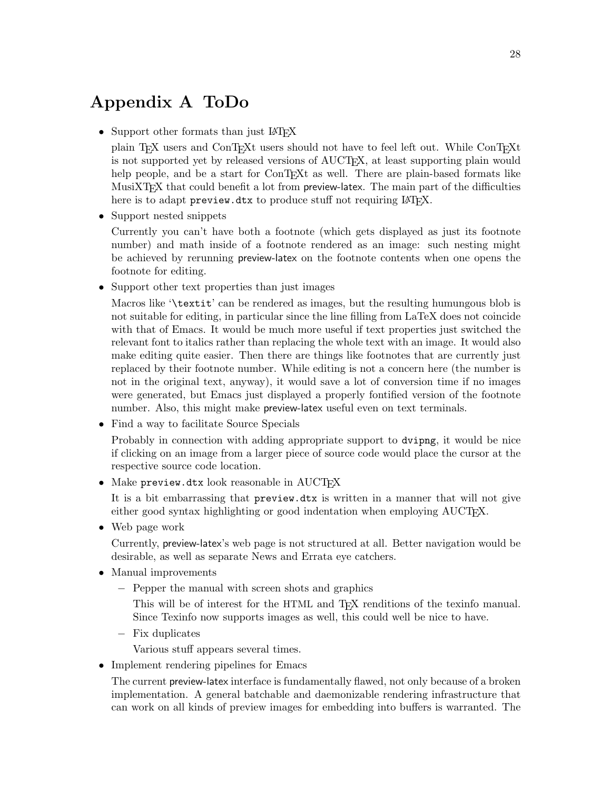## <span id="page-31-0"></span>Appendix A ToDo

• Support other formats than just IATEX

plain TEX users and ConTEXt users should not have to feel left out. While ConTEXt is not supported yet by released versions of AUCT<sub>EX</sub>, at least supporting plain would help people, and be a start for ConTEXt as well. There are plain-based formats like MusiXT<sub>EX</sub> that could benefit a lot from preview-latex. The main part of the difficulties here is to adapt preview.dtx to produce stuff not requiring LAT<sub>F</sub>X.

• Support nested snippets

Currently you can't have both a footnote (which gets displayed as just its footnote number) and math inside of a footnote rendered as an image: such nesting might be achieved by rerunning preview-latex on the footnote contents when one opens the footnote for editing.

• Support other text properties than just images

Macros like '\textit' can be rendered as images, but the resulting humungous blob is not suitable for editing, in particular since the line filling from LaTeX does not coincide with that of Emacs. It would be much more useful if text properties just switched the relevant font to italics rather than replacing the whole text with an image. It would also make editing quite easier. Then there are things like footnotes that are currently just replaced by their footnote number. While editing is not a concern here (the number is not in the original text, anyway), it would save a lot of conversion time if no images were generated, but Emacs just displayed a properly fontified version of the footnote number. Also, this might make preview-latex useful even on text terminals.

• Find a way to facilitate Source Specials

Probably in connection with adding appropriate support to dvipng, it would be nice if clicking on an image from a larger piece of source code would place the cursor at the respective source code location.

 $\bullet$  Make preview.dtx look reasonable in AUCT<sub>EX</sub>

It is a bit embarrassing that preview.dtx is written in a manner that will not give either good syntax highlighting or good indentation when employing AUCTEX.

• Web page work

Currently, preview-latex's web page is not structured at all. Better navigation would be desirable, as well as separate News and Errata eye catchers.

- Manual improvements
	- − Pepper the manual with screen shots and graphics

This will be of interest for the HTML and T<sub>EX</sub> renditions of the texinfo manual. Since Texinfo now supports images as well, this could well be nice to have.

− Fix duplicates

Various stuff appears several times.

• Implement rendering pipelines for Emacs

The current preview-latex interface is fundamentally flawed, not only because of a broken implementation. A general batchable and daemonizable rendering infrastructure that can work on all kinds of preview images for embedding into buffers is warranted. The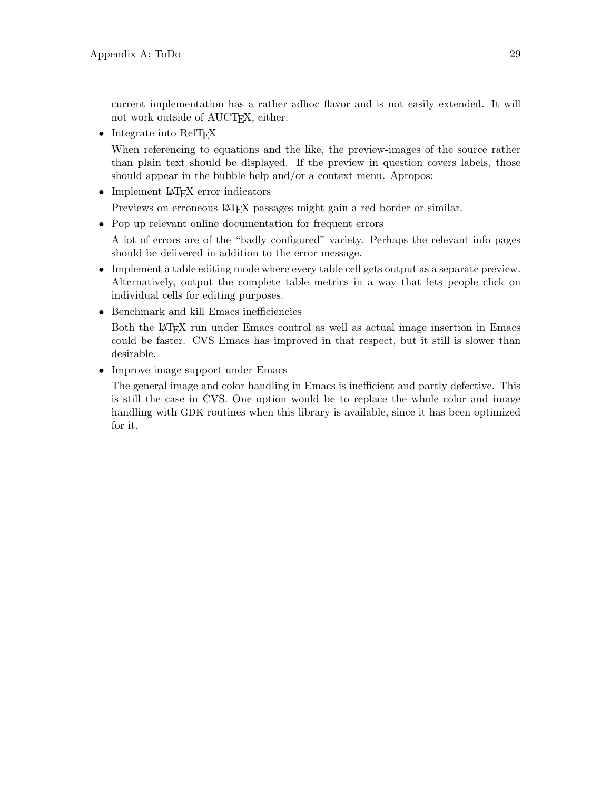current implementation has a rather adhoc flavor and is not easily extended. It will not work outside of AUCT<sub>F</sub>X, either.

• Integrate into RefT<sub>EX</sub>

When referencing to equations and the like, the preview-images of the source rather than plain text should be displayed. If the preview in question covers labels, those should appear in the bubble help and/or a context menu. Apropos:

• Implement LAT<sub>EX</sub> error indicators

Previews on erroneous LAT<sub>EX</sub> passages might gain a red border or similar.

• Pop up relevant online documentation for frequent errors

A lot of errors are of the "badly configured" variety. Perhaps the relevant info pages should be delivered in addition to the error message.

- Implement a table editing mode where every table cell gets output as a separate preview. Alternatively, output the complete table metrics in a way that lets people click on individual cells for editing purposes.
- Benchmark and kill Emacs inefficiencies

Both the LAT<sub>EX</sub> run under Emacs control as well as actual image insertion in Emacs could be faster. CVS Emacs has improved in that respect, but it still is slower than desirable.

• Improve image support under Emacs

The general image and color handling in Emacs is inefficient and partly defective. This is still the case in CVS. One option would be to replace the whole color and image handling with GDK routines when this library is available, since it has been optimized for it.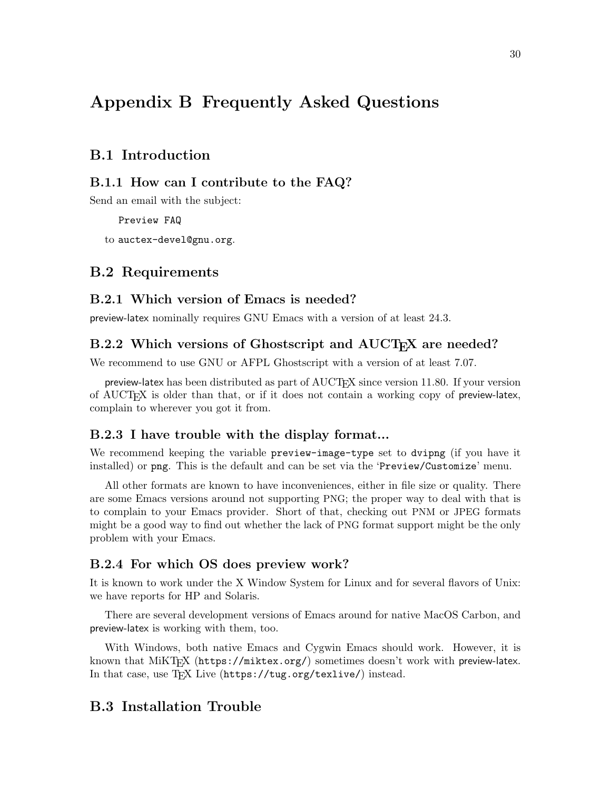## <span id="page-33-0"></span>Appendix B Frequently Asked Questions

## B.1 Introduction

## B.1.1 How can I contribute to the FAQ?

Send an email with the subject:

Preview FAQ

to [auctex-devel@gnu.org](mailto:auctex-devel@gnu.org).

## B.2 Requirements

## B.2.1 Which version of Emacs is needed?

preview-latex nominally requires GNU Emacs with a version of at least 24.3.

## B.2.2 Which versions of Ghostscript and AUCT<sub>E</sub>X are needed?

We recommend to use GNU or AFPL Ghostscript with a version of at least 7.07.

preview-latex has been distributed as part of AUCTEX since version 11.80. If your version of AUCTEX is older than that, or if it does not contain a working copy of preview-latex, complain to wherever you got it from.

## B.2.3 I have trouble with the display format...

We recommend keeping the variable preview-image-type set to dvipng (if you have it installed) or png. This is the default and can be set via the 'Preview/Customize' menu.

All other formats are known to have inconveniences, either in file size or quality. There are some Emacs versions around not supporting PNG; the proper way to deal with that is to complain to your Emacs provider. Short of that, checking out PNM or JPEG formats might be a good way to find out whether the lack of PNG format support might be the only problem with your Emacs.

## B.2.4 For which OS does preview work?

It is known to work under the X Window System for Linux and for several flavors of Unix: we have reports for HP and Solaris.

There are several development versions of Emacs around for native MacOS Carbon, and preview-latex is working with them, too.

With Windows, both native Emacs and Cygwin Emacs should work. However, it is known that MiKT<sub>E</sub>X (<https://miktex.org/>) sometimes doesn't work with preview-latex. In that case, use TEX Live (<https://tug.org/texlive/>) instead.

## B.3 Installation Trouble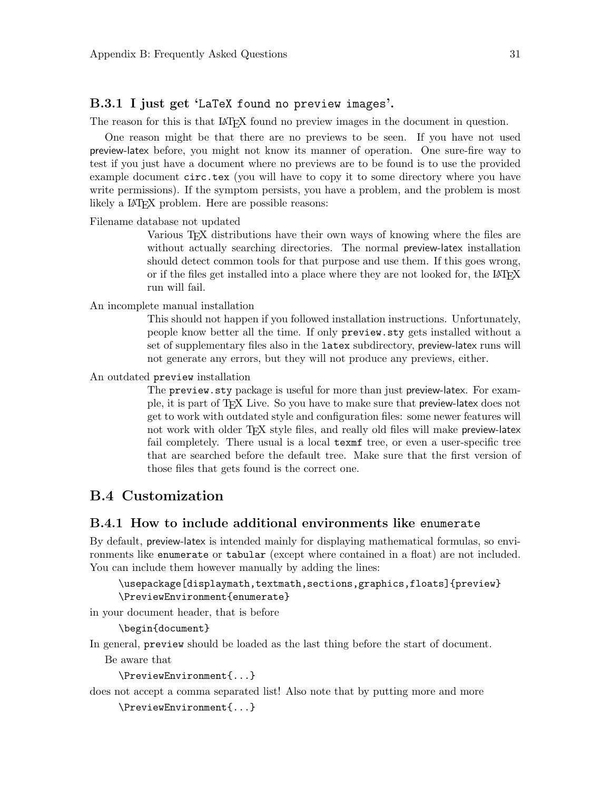## <span id="page-34-0"></span>B.3.1 I just get 'LaTeX found no preview images'.

The reason for this is that LAT<sub>EX</sub> found no preview images in the document in question.

One reason might be that there are no previews to be seen. If you have not used preview-latex before, you might not know its manner of operation. One sure-fire way to test if you just have a document where no previews are to be found is to use the provided example document circ.tex (you will have to copy it to some directory where you have write permissions). If the symptom persists, you have a problem, and the problem is most likely a LAT<sub>E</sub>X problem. Here are possible reasons:

#### Filename database not updated

Various T<sub>E</sub>X distributions have their own ways of knowing where the files are without actually searching directories. The normal preview-latex installation should detect common tools for that purpose and use them. If this goes wrong, or if the files get installed into a place where they are not looked for, the LAT<sub>E</sub>X run will fail.

#### An incomplete manual installation

This should not happen if you followed installation instructions. Unfortunately, people know better all the time. If only preview.sty gets installed without a set of supplementary files also in the latex subdirectory, preview-latex runs will not generate any errors, but they will not produce any previews, either.

An outdated preview installation

The preview.sty package is useful for more than just preview-latex. For example, it is part of TEX Live. So you have to make sure that preview-latex does not get to work with outdated style and configuration files: some newer features will not work with older T<sub>EX</sub> style files, and really old files will make preview-latex fail completely. There usual is a local texmf tree, or even a user-specific tree that are searched before the default tree. Make sure that the first version of those files that gets found is the correct one.

## <span id="page-34-1"></span>B.4 Customization

## B.4.1 How to include additional environments like enumerate

By default, preview-latex is intended mainly for displaying mathematical formulas, so environments like enumerate or tabular (except where contained in a float) are not included. You can include them however manually by adding the lines:

### \usepackage[displaymath,textmath,sections,graphics,floats]{preview} \PreviewEnvironment{enumerate}

in your document header, that is before

\begin{document}

In general, preview should be loaded as the last thing before the start of document.

Be aware that

```
\PreviewEnvironment{...}
```
does not accept a comma separated list! Also note that by putting more and more

```
\PreviewEnvironment{...}
```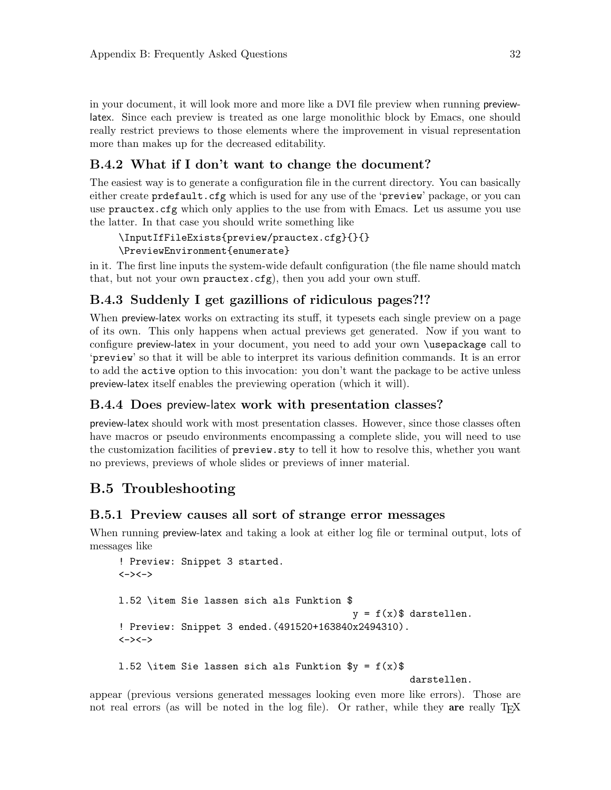<span id="page-35-0"></span>in your document, it will look more and more like a DVI file preview when running previewlatex. Since each preview is treated as one large monolithic block by Emacs, one should really restrict previews to those elements where the improvement in visual representation more than makes up for the decreased editability.

## B.4.2 What if I don't want to change the document?

The easiest way is to generate a configuration file in the current directory. You can basically either create prdefault.cfg which is used for any use of the 'preview' package, or you can use prauctex.cfg which only applies to the use from with Emacs. Let us assume you use the latter. In that case you should write something like

```
\InputIfFileExists{preview/prauctex.cfg}{}{}
\PreviewEnvironment{enumerate}
```
in it. The first line inputs the system-wide default configuration (the file name should match that, but not your own prauctex.cfg), then you add your own stuff.

## B.4.3 Suddenly I get gazillions of ridiculous pages?!?

When preview-latex works on extracting its stuff, it typesets each single preview on a page of its own. This only happens when actual previews get generated. Now if you want to configure preview-latex in your document, you need to add your own \usepackage call to 'preview' so that it will be able to interpret its various definition commands. It is an error to add the active option to this invocation: you don't want the package to be active unless preview-latex itself enables the previewing operation (which it will).

## B.4.4 Does preview-latex work with presentation classes?

preview-latex should work with most presentation classes. However, since those classes often have macros or pseudo environments encompassing a complete slide, you will need to use the customization facilities of preview.sty to tell it how to resolve this, whether you want no previews, previews of whole slides or previews of inner material.

## B.5 Troubleshooting

## B.5.1 Preview causes all sort of strange error messages

When running preview-latex and taking a look at either log file or terminal output, lots of messages like

```
! Preview: Snippet 3 started.
\left\langle -\right\rangle \left\langle -\right\ranglel.52 \item Sie lassen sich als Funktion $
                                                           y = f(x)$ darstellen.
! Preview: Snippet 3 ended.(491520+163840x2494310).
\left\langle -\right\rangle \left\langle -\right\rangle1.52 \item Sie lassen sich als Funktion y = f(x)darstellen.
```
appear (previous versions generated messages looking even more like errors). Those are not real errors (as will be noted in the log file). Or rather, while they are really TFX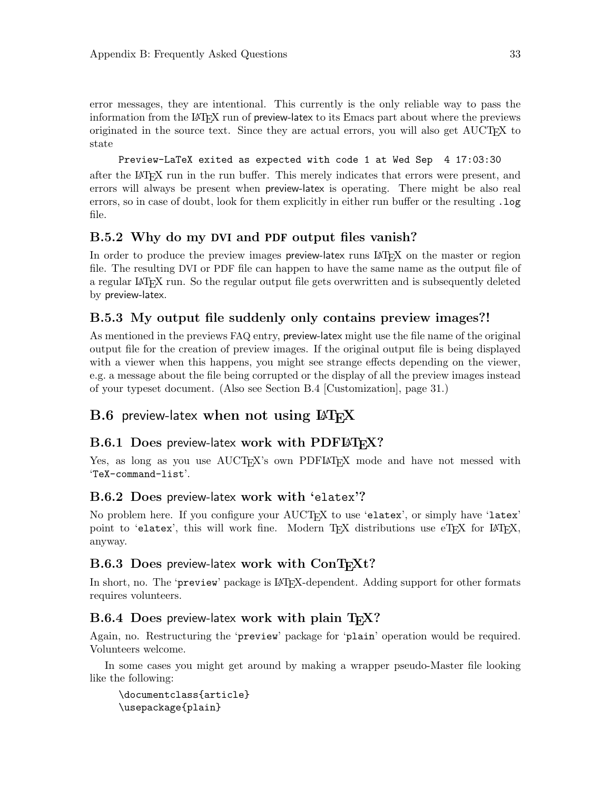<span id="page-36-0"></span>error messages, they are intentional. This currently is the only reliable way to pass the information from the LAT<sub>E</sub>X run of preview-latex to its Emacs part about where the previews originated in the source text. Since they are actual errors, you will also get  $\text{AUCT}$ <sub>EX</sub> to state

Preview-LaTeX exited as expected with code 1 at Wed Sep 4 17:03:30 after the LaTEX run in the run buffer. This merely indicates that errors were present, and errors will always be present when preview-latex is operating. There might be also real errors, so in case of doubt, look for them explicitly in either run buffer or the resulting .log file.

## B.5.2 Why do my DVI and PDF output files vanish?

In order to produce the preview images preview-latex runs LATFX on the master or region file. The resulting DVI or PDF file can happen to have the same name as the output file of a regular LAT<sub>EX</sub> run. So the regular output file gets overwritten and is subsequently deleted by preview-latex.

## B.5.3 My output file suddenly only contains preview images?!

As mentioned in the previews FAQ entry, preview-latex might use the file name of the original output file for the creation of preview images. If the original output file is being displayed with a viewer when this happens, you might see strange effects depending on the viewer, e.g. a message about the file being corrupted or the display of all the preview images instead of your typeset document. (Also see [Section B.4 \[Customization\], page 31.](#page-34-1))

## $B.6$  preview-latex when not using  $\mu$ T<sub>F</sub>X

## $B.6.1$  Does preview-latex work with PDFLAT<sub>EX</sub>?

Yes, as long as you use AUCTEX's own PDFLATEX mode and have not messed with 'TeX-command-list'.

## B.6.2 Does preview-latex work with 'elatex'?

No problem here. If you configure your AUCT<sub>EX</sub> to use 'elatex', or simply have 'latex' point to 'elatex', this will work fine. Modern  $T_F X$  distributions use  $eT_F X$  for  $IAT_F X$ , anyway.

## $B.6.3$  Does preview-latex work with  $ConT<sub>F</sub>Xt$ ?

In short, no. The 'preview' package is LAT<sub>EX</sub>-dependent. Adding support for other formats requires volunteers.

## B.6.4 Does preview-latex work with plain TFX?

Again, no. Restructuring the 'preview' package for 'plain' operation would be required. Volunteers welcome.

In some cases you might get around by making a wrapper pseudo-Master file looking like the following:

```
\documentclass{article}
\usepackage{plain}
```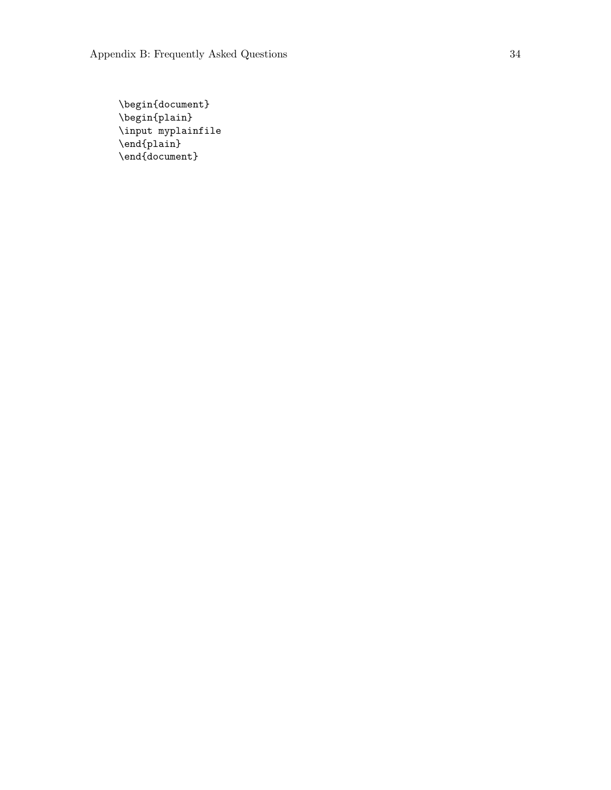\begin{document} \begin{plain} \input myplainfile \end{plain} \end{document}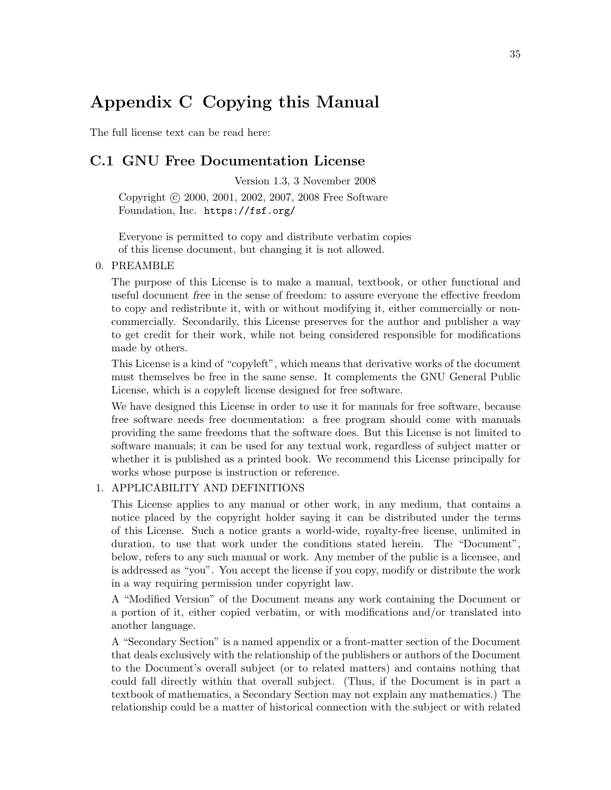## <span id="page-38-0"></span>Appendix C Copying this Manual

The full license text can be read here:

## C.1 GNU Free Documentation License

Version 1.3, 3 November 2008 Copyright © 2000, 2001, 2002, 2007, 2008 Free Software Foundation, Inc. <https://fsf.org/>

Everyone is permitted to copy and distribute verbatim copies of this license document, but changing it is not allowed.

#### 0. PREAMBLE

The purpose of this License is to make a manual, textbook, or other functional and useful document free in the sense of freedom: to assure everyone the effective freedom to copy and redistribute it, with or without modifying it, either commercially or noncommercially. Secondarily, this License preserves for the author and publisher a way to get credit for their work, while not being considered responsible for modifications made by others.

This License is a kind of "copyleft", which means that derivative works of the document must themselves be free in the same sense. It complements the GNU General Public License, which is a copyleft license designed for free software.

We have designed this License in order to use it for manuals for free software, because free software needs free documentation: a free program should come with manuals providing the same freedoms that the software does. But this License is not limited to software manuals; it can be used for any textual work, regardless of subject matter or whether it is published as a printed book. We recommend this License principally for works whose purpose is instruction or reference.

### 1. APPLICABILITY AND DEFINITIONS

This License applies to any manual or other work, in any medium, that contains a notice placed by the copyright holder saying it can be distributed under the terms of this License. Such a notice grants a world-wide, royalty-free license, unlimited in duration, to use that work under the conditions stated herein. The "Document", below, refers to any such manual or work. Any member of the public is a licensee, and is addressed as "you". You accept the license if you copy, modify or distribute the work in a way requiring permission under copyright law.

A "Modified Version" of the Document means any work containing the Document or a portion of it, either copied verbatim, or with modifications and/or translated into another language.

A "Secondary Section" is a named appendix or a front-matter section of the Document that deals exclusively with the relationship of the publishers or authors of the Document to the Document's overall subject (or to related matters) and contains nothing that could fall directly within that overall subject. (Thus, if the Document is in part a textbook of mathematics, a Secondary Section may not explain any mathematics.) The relationship could be a matter of historical connection with the subject or with related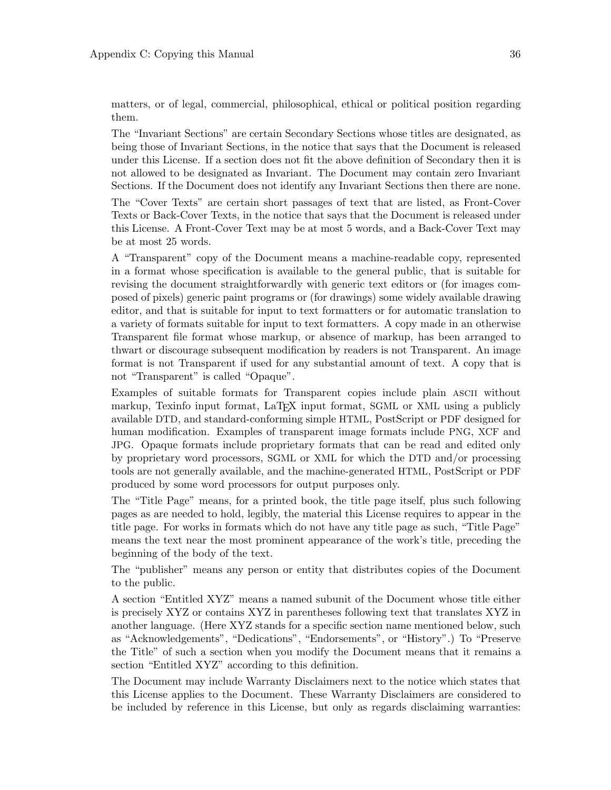matters, or of legal, commercial, philosophical, ethical or political position regarding them.

The "Invariant Sections" are certain Secondary Sections whose titles are designated, as being those of Invariant Sections, in the notice that says that the Document is released under this License. If a section does not fit the above definition of Secondary then it is not allowed to be designated as Invariant. The Document may contain zero Invariant Sections. If the Document does not identify any Invariant Sections then there are none.

The "Cover Texts" are certain short passages of text that are listed, as Front-Cover Texts or Back-Cover Texts, in the notice that says that the Document is released under this License. A Front-Cover Text may be at most 5 words, and a Back-Cover Text may be at most 25 words.

A "Transparent" copy of the Document means a machine-readable copy, represented in a format whose specification is available to the general public, that is suitable for revising the document straightforwardly with generic text editors or (for images composed of pixels) generic paint programs or (for drawings) some widely available drawing editor, and that is suitable for input to text formatters or for automatic translation to a variety of formats suitable for input to text formatters. A copy made in an otherwise Transparent file format whose markup, or absence of markup, has been arranged to thwart or discourage subsequent modification by readers is not Transparent. An image format is not Transparent if used for any substantial amount of text. A copy that is not "Transparent" is called "Opaque".

Examples of suitable formats for Transparent copies include plain ascii without markup, Texinfo input format, LaTEX input format, SGML or XML using a publicly available DTD, and standard-conforming simple HTML, PostScript or PDF designed for human modification. Examples of transparent image formats include PNG, XCF and JPG. Opaque formats include proprietary formats that can be read and edited only by proprietary word processors, SGML or XML for which the DTD and/or processing tools are not generally available, and the machine-generated HTML, PostScript or PDF produced by some word processors for output purposes only.

The "Title Page" means, for a printed book, the title page itself, plus such following pages as are needed to hold, legibly, the material this License requires to appear in the title page. For works in formats which do not have any title page as such, "Title Page" means the text near the most prominent appearance of the work's title, preceding the beginning of the body of the text.

The "publisher" means any person or entity that distributes copies of the Document to the public.

A section "Entitled XYZ" means a named subunit of the Document whose title either is precisely XYZ or contains XYZ in parentheses following text that translates XYZ in another language. (Here XYZ stands for a specific section name mentioned below, such as "Acknowledgements", "Dedications", "Endorsements", or "History".) To "Preserve the Title" of such a section when you modify the Document means that it remains a section "Entitled XYZ" according to this definition.

The Document may include Warranty Disclaimers next to the notice which states that this License applies to the Document. These Warranty Disclaimers are considered to be included by reference in this License, but only as regards disclaiming warranties: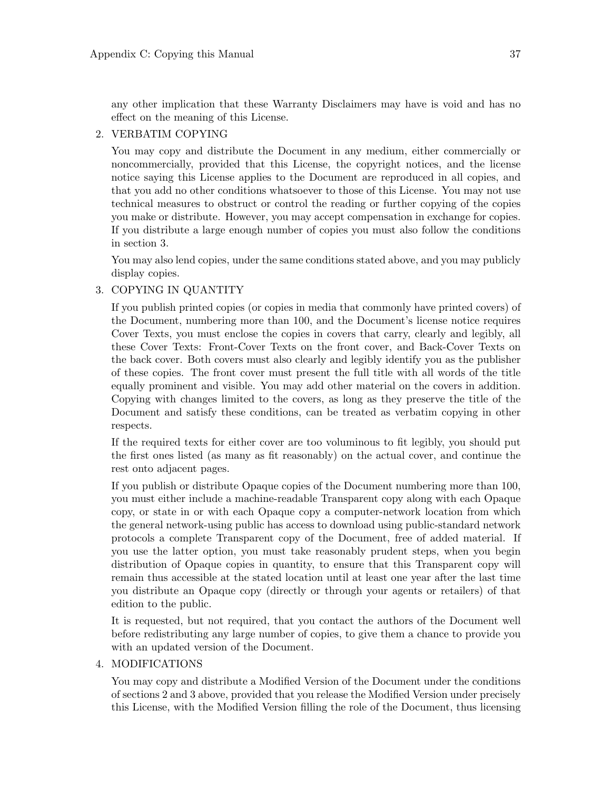any other implication that these Warranty Disclaimers may have is void and has no effect on the meaning of this License.

### 2. VERBATIM COPYING

You may copy and distribute the Document in any medium, either commercially or noncommercially, provided that this License, the copyright notices, and the license notice saying this License applies to the Document are reproduced in all copies, and that you add no other conditions whatsoever to those of this License. You may not use technical measures to obstruct or control the reading or further copying of the copies you make or distribute. However, you may accept compensation in exchange for copies. If you distribute a large enough number of copies you must also follow the conditions in section 3.

You may also lend copies, under the same conditions stated above, and you may publicly display copies.

## 3. COPYING IN QUANTITY

If you publish printed copies (or copies in media that commonly have printed covers) of the Document, numbering more than 100, and the Document's license notice requires Cover Texts, you must enclose the copies in covers that carry, clearly and legibly, all these Cover Texts: Front-Cover Texts on the front cover, and Back-Cover Texts on the back cover. Both covers must also clearly and legibly identify you as the publisher of these copies. The front cover must present the full title with all words of the title equally prominent and visible. You may add other material on the covers in addition. Copying with changes limited to the covers, as long as they preserve the title of the Document and satisfy these conditions, can be treated as verbatim copying in other respects.

If the required texts for either cover are too voluminous to fit legibly, you should put the first ones listed (as many as fit reasonably) on the actual cover, and continue the rest onto adjacent pages.

If you publish or distribute Opaque copies of the Document numbering more than 100, you must either include a machine-readable Transparent copy along with each Opaque copy, or state in or with each Opaque copy a computer-network location from which the general network-using public has access to download using public-standard network protocols a complete Transparent copy of the Document, free of added material. If you use the latter option, you must take reasonably prudent steps, when you begin distribution of Opaque copies in quantity, to ensure that this Transparent copy will remain thus accessible at the stated location until at least one year after the last time you distribute an Opaque copy (directly or through your agents or retailers) of that edition to the public.

It is requested, but not required, that you contact the authors of the Document well before redistributing any large number of copies, to give them a chance to provide you with an updated version of the Document.

### 4. MODIFICATIONS

You may copy and distribute a Modified Version of the Document under the conditions of sections 2 and 3 above, provided that you release the Modified Version under precisely this License, with the Modified Version filling the role of the Document, thus licensing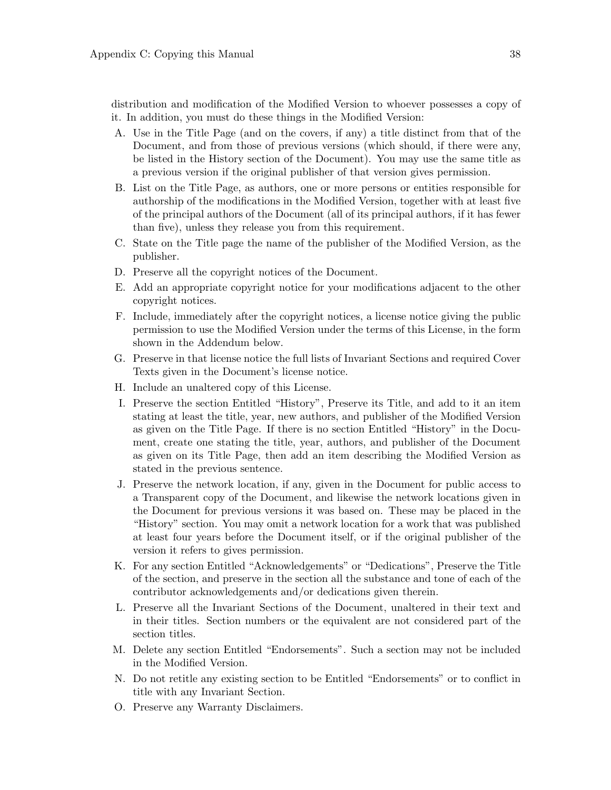distribution and modification of the Modified Version to whoever possesses a copy of it. In addition, you must do these things in the Modified Version:

- A. Use in the Title Page (and on the covers, if any) a title distinct from that of the Document, and from those of previous versions (which should, if there were any, be listed in the History section of the Document). You may use the same title as a previous version if the original publisher of that version gives permission.
- B. List on the Title Page, as authors, one or more persons or entities responsible for authorship of the modifications in the Modified Version, together with at least five of the principal authors of the Document (all of its principal authors, if it has fewer than five), unless they release you from this requirement.
- C. State on the Title page the name of the publisher of the Modified Version, as the publisher.
- D. Preserve all the copyright notices of the Document.
- E. Add an appropriate copyright notice for your modifications adjacent to the other copyright notices.
- F. Include, immediately after the copyright notices, a license notice giving the public permission to use the Modified Version under the terms of this License, in the form shown in the Addendum below.
- G. Preserve in that license notice the full lists of Invariant Sections and required Cover Texts given in the Document's license notice.
- H. Include an unaltered copy of this License.
- I. Preserve the section Entitled "History", Preserve its Title, and add to it an item stating at least the title, year, new authors, and publisher of the Modified Version as given on the Title Page. If there is no section Entitled "History" in the Document, create one stating the title, year, authors, and publisher of the Document as given on its Title Page, then add an item describing the Modified Version as stated in the previous sentence.
- J. Preserve the network location, if any, given in the Document for public access to a Transparent copy of the Document, and likewise the network locations given in the Document for previous versions it was based on. These may be placed in the "History" section. You may omit a network location for a work that was published at least four years before the Document itself, or if the original publisher of the version it refers to gives permission.
- K. For any section Entitled "Acknowledgements" or "Dedications", Preserve the Title of the section, and preserve in the section all the substance and tone of each of the contributor acknowledgements and/or dedications given therein.
- L. Preserve all the Invariant Sections of the Document, unaltered in their text and in their titles. Section numbers or the equivalent are not considered part of the section titles.
- M. Delete any section Entitled "Endorsements". Such a section may not be included in the Modified Version.
- N. Do not retitle any existing section to be Entitled "Endorsements" or to conflict in title with any Invariant Section.
- O. Preserve any Warranty Disclaimers.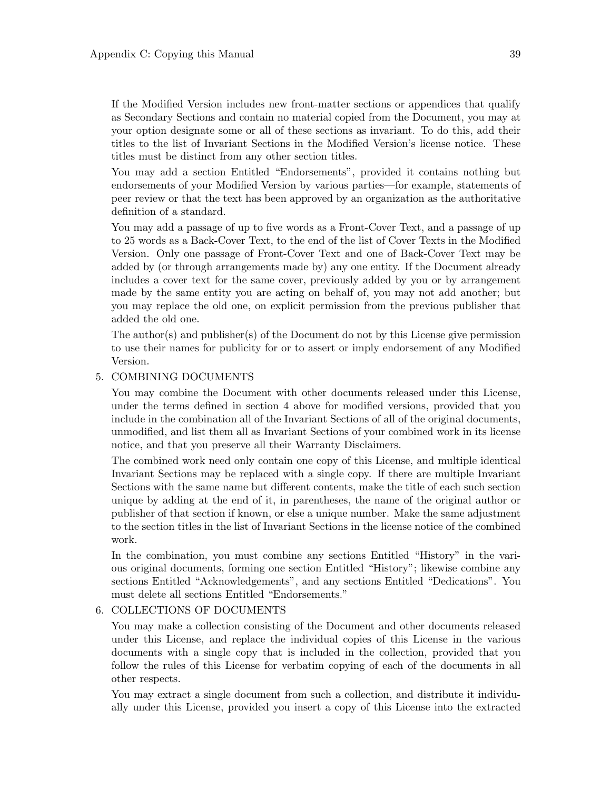If the Modified Version includes new front-matter sections or appendices that qualify as Secondary Sections and contain no material copied from the Document, you may at your option designate some or all of these sections as invariant. To do this, add their titles to the list of Invariant Sections in the Modified Version's license notice. These titles must be distinct from any other section titles.

You may add a section Entitled "Endorsements", provided it contains nothing but endorsements of your Modified Version by various parties—for example, statements of peer review or that the text has been approved by an organization as the authoritative definition of a standard.

You may add a passage of up to five words as a Front-Cover Text, and a passage of up to 25 words as a Back-Cover Text, to the end of the list of Cover Texts in the Modified Version. Only one passage of Front-Cover Text and one of Back-Cover Text may be added by (or through arrangements made by) any one entity. If the Document already includes a cover text for the same cover, previously added by you or by arrangement made by the same entity you are acting on behalf of, you may not add another; but you may replace the old one, on explicit permission from the previous publisher that added the old one.

The author(s) and publisher(s) of the Document do not by this License give permission to use their names for publicity for or to assert or imply endorsement of any Modified Version.

#### 5. COMBINING DOCUMENTS

You may combine the Document with other documents released under this License, under the terms defined in section 4 above for modified versions, provided that you include in the combination all of the Invariant Sections of all of the original documents, unmodified, and list them all as Invariant Sections of your combined work in its license notice, and that you preserve all their Warranty Disclaimers.

The combined work need only contain one copy of this License, and multiple identical Invariant Sections may be replaced with a single copy. If there are multiple Invariant Sections with the same name but different contents, make the title of each such section unique by adding at the end of it, in parentheses, the name of the original author or publisher of that section if known, or else a unique number. Make the same adjustment to the section titles in the list of Invariant Sections in the license notice of the combined work.

In the combination, you must combine any sections Entitled "History" in the various original documents, forming one section Entitled "History"; likewise combine any sections Entitled "Acknowledgements", and any sections Entitled "Dedications". You must delete all sections Entitled "Endorsements."

#### 6. COLLECTIONS OF DOCUMENTS

You may make a collection consisting of the Document and other documents released under this License, and replace the individual copies of this License in the various documents with a single copy that is included in the collection, provided that you follow the rules of this License for verbatim copying of each of the documents in all other respects.

You may extract a single document from such a collection, and distribute it individually under this License, provided you insert a copy of this License into the extracted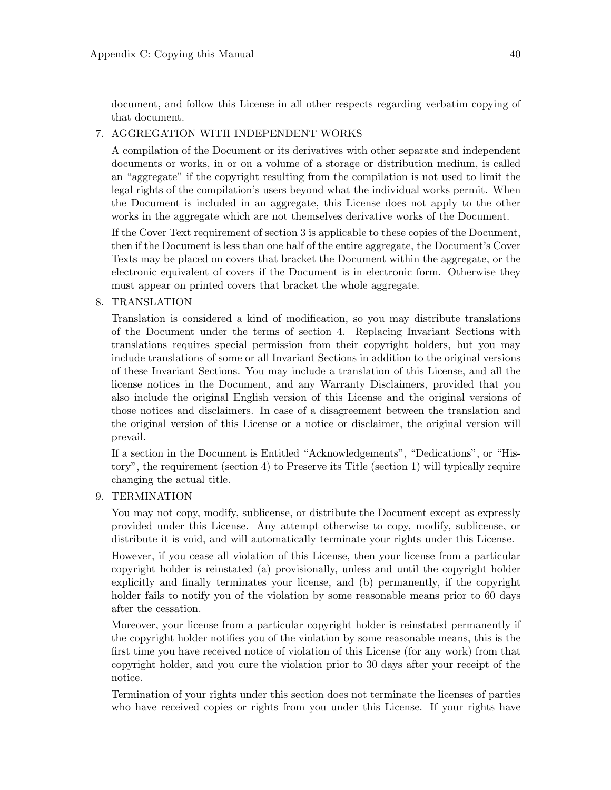document, and follow this License in all other respects regarding verbatim copying of that document.

### 7. AGGREGATION WITH INDEPENDENT WORKS

A compilation of the Document or its derivatives with other separate and independent documents or works, in or on a volume of a storage or distribution medium, is called an "aggregate" if the copyright resulting from the compilation is not used to limit the legal rights of the compilation's users beyond what the individual works permit. When the Document is included in an aggregate, this License does not apply to the other works in the aggregate which are not themselves derivative works of the Document.

If the Cover Text requirement of section 3 is applicable to these copies of the Document, then if the Document is less than one half of the entire aggregate, the Document's Cover Texts may be placed on covers that bracket the Document within the aggregate, or the electronic equivalent of covers if the Document is in electronic form. Otherwise they must appear on printed covers that bracket the whole aggregate.

### 8. TRANSLATION

Translation is considered a kind of modification, so you may distribute translations of the Document under the terms of section 4. Replacing Invariant Sections with translations requires special permission from their copyright holders, but you may include translations of some or all Invariant Sections in addition to the original versions of these Invariant Sections. You may include a translation of this License, and all the license notices in the Document, and any Warranty Disclaimers, provided that you also include the original English version of this License and the original versions of those notices and disclaimers. In case of a disagreement between the translation and the original version of this License or a notice or disclaimer, the original version will prevail.

If a section in the Document is Entitled "Acknowledgements", "Dedications", or "History", the requirement (section 4) to Preserve its Title (section 1) will typically require changing the actual title.

## 9. TERMINATION

You may not copy, modify, sublicense, or distribute the Document except as expressly provided under this License. Any attempt otherwise to copy, modify, sublicense, or distribute it is void, and will automatically terminate your rights under this License.

However, if you cease all violation of this License, then your license from a particular copyright holder is reinstated (a) provisionally, unless and until the copyright holder explicitly and finally terminates your license, and (b) permanently, if the copyright holder fails to notify you of the violation by some reasonable means prior to 60 days after the cessation.

Moreover, your license from a particular copyright holder is reinstated permanently if the copyright holder notifies you of the violation by some reasonable means, this is the first time you have received notice of violation of this License (for any work) from that copyright holder, and you cure the violation prior to 30 days after your receipt of the notice.

Termination of your rights under this section does not terminate the licenses of parties who have received copies or rights from you under this License. If your rights have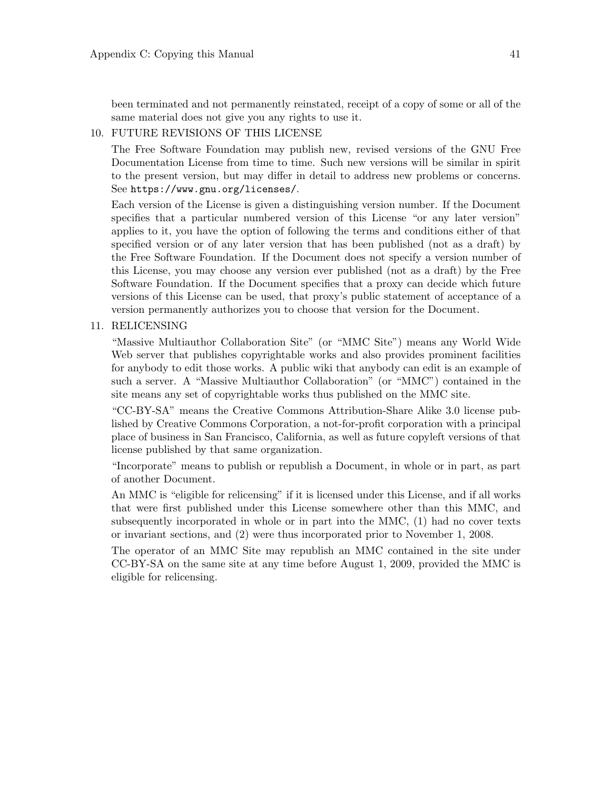been terminated and not permanently reinstated, receipt of a copy of some or all of the same material does not give you any rights to use it.

#### 10. FUTURE REVISIONS OF THIS LICENSE

The Free Software Foundation may publish new, revised versions of the GNU Free Documentation License from time to time. Such new versions will be similar in spirit to the present version, but may differ in detail to address new problems or concerns. See <https://www.gnu.org/licenses/>.

Each version of the License is given a distinguishing version number. If the Document specifies that a particular numbered version of this License "or any later version" applies to it, you have the option of following the terms and conditions either of that specified version or of any later version that has been published (not as a draft) by the Free Software Foundation. If the Document does not specify a version number of this License, you may choose any version ever published (not as a draft) by the Free Software Foundation. If the Document specifies that a proxy can decide which future versions of this License can be used, that proxy's public statement of acceptance of a version permanently authorizes you to choose that version for the Document.

11. RELICENSING

"Massive Multiauthor Collaboration Site" (or "MMC Site") means any World Wide Web server that publishes copyrightable works and also provides prominent facilities for anybody to edit those works. A public wiki that anybody can edit is an example of such a server. A "Massive Multiauthor Collaboration" (or "MMC") contained in the site means any set of copyrightable works thus published on the MMC site.

"CC-BY-SA" means the Creative Commons Attribution-Share Alike 3.0 license published by Creative Commons Corporation, a not-for-profit corporation with a principal place of business in San Francisco, California, as well as future copyleft versions of that license published by that same organization.

"Incorporate" means to publish or republish a Document, in whole or in part, as part of another Document.

An MMC is "eligible for relicensing" if it is licensed under this License, and if all works that were first published under this License somewhere other than this MMC, and subsequently incorporated in whole or in part into the MMC, (1) had no cover texts or invariant sections, and (2) were thus incorporated prior to November 1, 2008.

The operator of an MMC Site may republish an MMC contained in the site under CC-BY-SA on the same site at any time before August 1, 2009, provided the MMC is eligible for relicensing.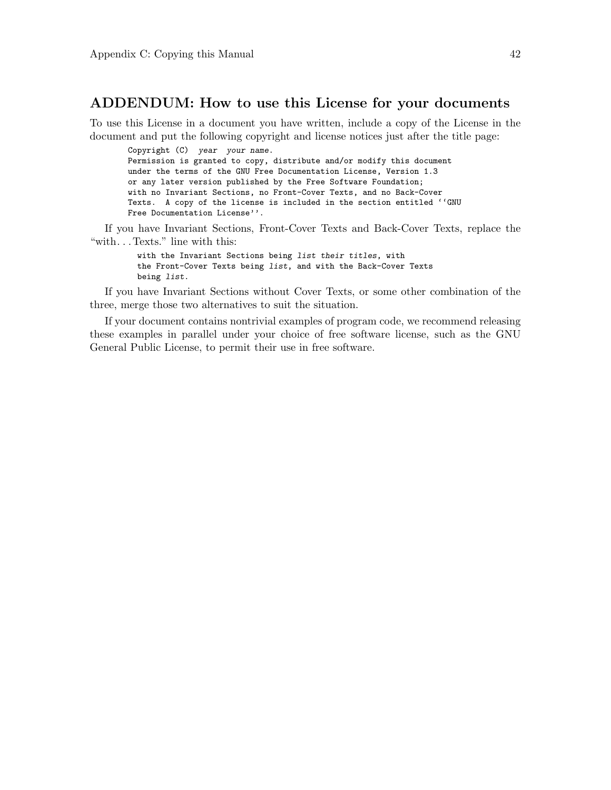## ADDENDUM: How to use this License for your documents

To use this License in a document you have written, include a copy of the License in the document and put the following copyright and license notices just after the title page:

Copyright (C) year your name. Permission is granted to copy, distribute and/or modify this document under the terms of the GNU Free Documentation License, Version 1.3 or any later version published by the Free Software Foundation; with no Invariant Sections, no Front-Cover Texts, and no Back-Cover Texts. A copy of the license is included in the section entitled ''GNU Free Documentation License''.

If you have Invariant Sections, Front-Cover Texts and Back-Cover Texts, replace the "with. . . Texts." line with this:

> with the Invariant Sections being list their titles, with the Front-Cover Texts being list, and with the Back-Cover Texts being list.

If you have Invariant Sections without Cover Texts, or some other combination of the three, merge those two alternatives to suit the situation.

If your document contains nontrivial examples of program code, we recommend releasing these examples in parallel under your choice of free software license, such as the GNU General Public License, to permit their use in free software.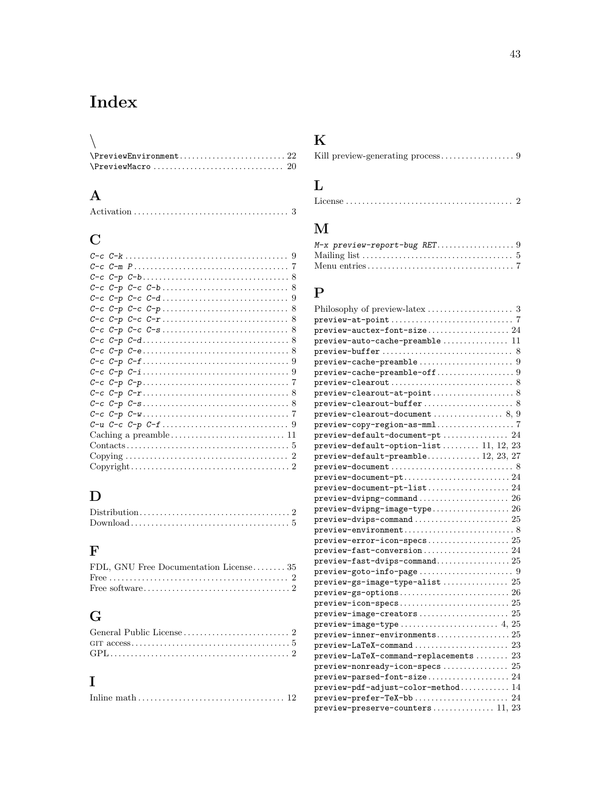# <span id="page-46-0"></span>Index

| $\text{NPreviewEnvironment} \dots \dots \dots \dots \dots \dots \dots \ 22$ |  |
|-----------------------------------------------------------------------------|--|
|                                                                             |  |

## A

# C

## D

## F

| FDL, GNU Free Documentation License 35 |  |
|----------------------------------------|--|
|                                        |  |
|                                        |  |

# G

# I

|--|--|

# K

|--|--|--|--|

# L

|--|--|

# M

## P